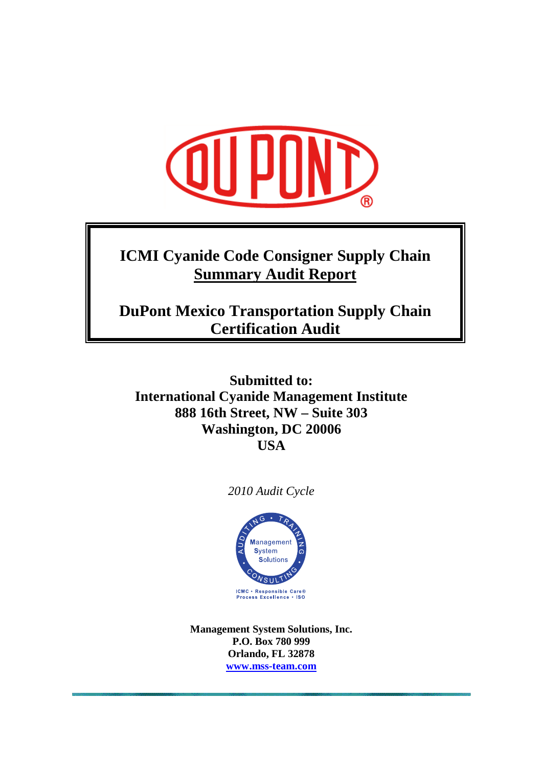

# **ICMI Cyanide Code Consigner Supply Chain Summary Audit Report**

**DuPont Mexico Transportation Supply Chain Certification Audit** 

**Submitted to: International Cyanide Management Institute 888 16th Street, NW – Suite 303 Washington, DC 20006 USA** 

*2010 Audit Cycle* 



**Management System Solutions, Inc. P.O. Box 780 999 Orlando, FL 32878 www.mss-team.com**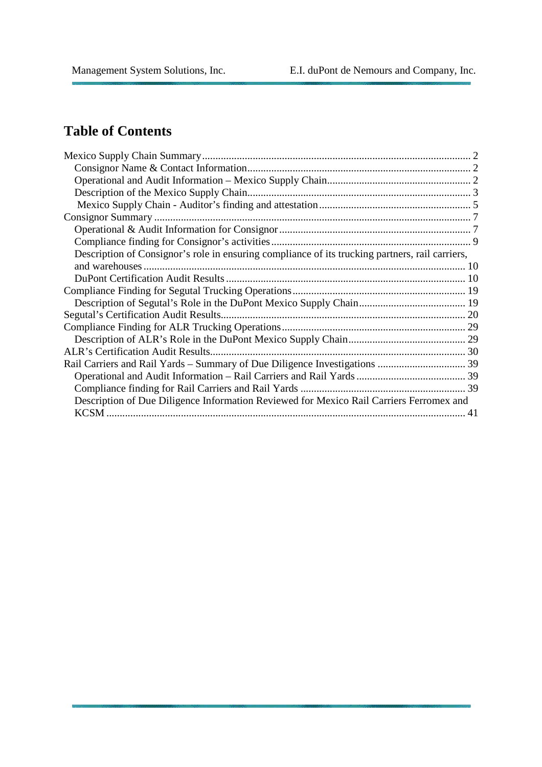# **Table of Contents**

| Description of Consignor's role in ensuring compliance of its trucking partners, rail carriers, |  |
|-------------------------------------------------------------------------------------------------|--|
|                                                                                                 |  |
|                                                                                                 |  |
|                                                                                                 |  |
|                                                                                                 |  |
|                                                                                                 |  |
|                                                                                                 |  |
|                                                                                                 |  |
|                                                                                                 |  |
|                                                                                                 |  |
|                                                                                                 |  |
|                                                                                                 |  |
| Description of Due Diligence Information Reviewed for Mexico Rail Carriers Ferromex and         |  |
|                                                                                                 |  |
|                                                                                                 |  |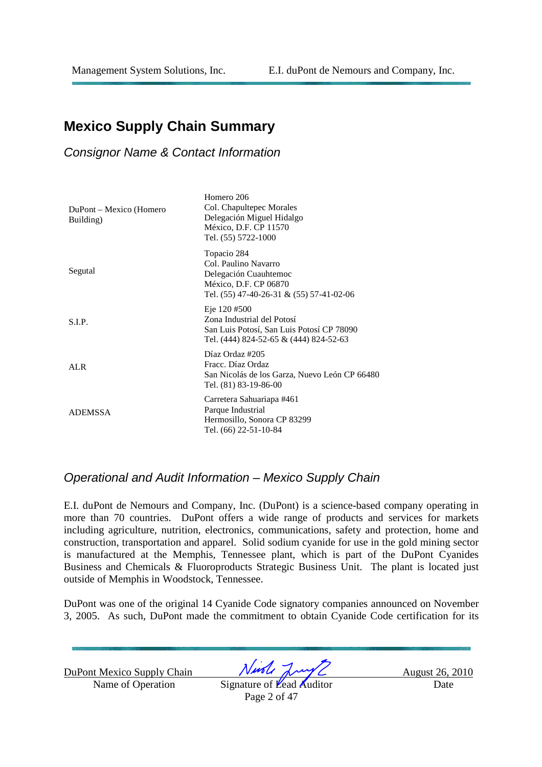## **Mexico Supply Chain Summary**

Consignor Name & Contact Information

| DuPont – Mexico (Homero<br>Building) | Homero 206<br>Col. Chapultepec Morales<br>Delegación Miguel Hidalgo<br>México, D.F. CP 11570<br>Tel. (55) 5722-1000                   |
|--------------------------------------|---------------------------------------------------------------------------------------------------------------------------------------|
| Segutal                              | Topacio 284<br>Col. Paulino Navarro<br>Delegación Cuauhtemoc<br>México, D.F. CP 06870<br>Tel. $(55)$ 47-40-26-31 & $(55)$ 57-41-02-06 |
| S.I.P.                               | Eje 120 #500<br>Zona Industrial del Potosí<br>San Luis Potosí, San Luis Potosí CP 78090<br>Tel. (444) 824-52-65 & (444) 824-52-63     |
| <b>ALR</b>                           | Díaz Ordaz #205<br>Fracc. Díaz Ordaz<br>San Nicolás de los Garza, Nuevo León CP 66480<br>Tel. (81) 83-19-86-00                        |
| ADEMSSA                              | Carretera Sahuariapa #461<br>Parque Industrial<br>Hermosillo, Sonora CP 83299<br>Tel. (66) 22-51-10-84                                |

### Operational and Audit Information – Mexico Supply Chain

E.I. duPont de Nemours and Company, Inc. (DuPont) is a science-based company operating in more than 70 countries. DuPont offers a wide range of products and services for markets including agriculture, nutrition, electronics, communications, safety and protection, home and construction, transportation and apparel. Solid sodium cyanide for use in the gold mining sector is manufactured at the Memphis, Tennessee plant, which is part of the DuPont Cyanides Business and Chemicals & Fluoroproducts Strategic Business Unit. The plant is located just outside of Memphis in Woodstock, Tennessee.

DuPont was one of the original 14 Cyanide Code signatory companies announced on November 3, 2005. As such, DuPont made the commitment to obtain Cyanide Code certification for its

Name of Operation Signature of Lead Auditor Date

DuPont Mexico Supply Chain  $N$ *ust*  $\sqrt{N}$  August 26, 2010

Page 2 of 47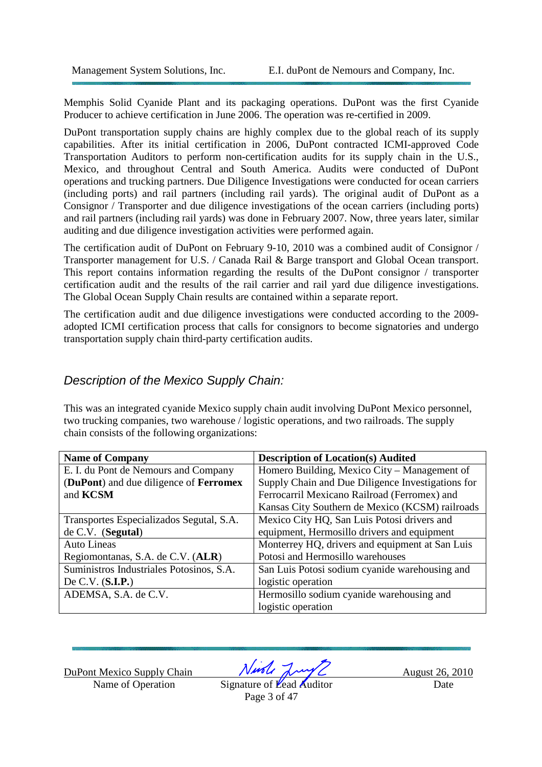Memphis Solid Cyanide Plant and its packaging operations. DuPont was the first Cyanide Producer to achieve certification in June 2006. The operation was re-certified in 2009.

DuPont transportation supply chains are highly complex due to the global reach of its supply capabilities. After its initial certification in 2006, DuPont contracted ICMI-approved Code Transportation Auditors to perform non-certification audits for its supply chain in the U.S., Mexico, and throughout Central and South America. Audits were conducted of DuPont operations and trucking partners. Due Diligence Investigations were conducted for ocean carriers (including ports) and rail partners (including rail yards). The original audit of DuPont as a Consignor / Transporter and due diligence investigations of the ocean carriers (including ports) and rail partners (including rail yards) was done in February 2007. Now, three years later, similar auditing and due diligence investigation activities were performed again.

The certification audit of DuPont on February 9-10, 2010 was a combined audit of Consignor / Transporter management for U.S. / Canada Rail & Barge transport and Global Ocean transport. This report contains information regarding the results of the DuPont consignor / transporter certification audit and the results of the rail carrier and rail yard due diligence investigations. The Global Ocean Supply Chain results are contained within a separate report.

The certification audit and due diligence investigations were conducted according to the 2009 adopted ICMI certification process that calls for consignors to become signatories and undergo transportation supply chain third-party certification audits.

### Description of the Mexico Supply Chain:

This was an integrated cyanide Mexico supply chain audit involving DuPont Mexico personnel, two trucking companies, two warehouse / logistic operations, and two railroads. The supply chain consists of the following organizations:

| <b>Name of Company</b>                   | <b>Description of Location(s) Audited</b>         |
|------------------------------------------|---------------------------------------------------|
| E. I. du Pont de Nemours and Company     | Homero Building, Mexico City - Management of      |
| (DuPont) and due diligence of Ferromex   | Supply Chain and Due Diligence Investigations for |
| and <b>KCSM</b>                          | Ferrocarril Mexicano Railroad (Ferromex) and      |
|                                          | Kansas City Southern de Mexico (KCSM) railroads   |
| Transportes Especializados Segutal, S.A. | Mexico City HQ, San Luis Potosi drivers and       |
| $de C.V.$ (Segutal)                      | equipment, Hermosillo drivers and equipment       |
| <b>Auto Lineas</b>                       | Monterrey HQ, drivers and equipment at San Luis   |
| Regiomontanas, S.A. de C.V. (ALR)        | Potosi and Hermosillo warehouses                  |
| Suministros Industriales Potosinos, S.A. | San Luis Potosi sodium cyanide warehousing and    |
| De C.V. $(S,I.P.)$                       | logistic operation                                |
| ADEMSA, S.A. de C.V.                     | Hermosillo sodium cyanide warehousing and         |
|                                          | logistic operation                                |

DuPont Mexico Supply Chain  $Nurbl$   $\lambda\mu\gamma\gamma$  August 26, 2010 Name of Operation Signature of Lead Auditor Date

Page 3 of 47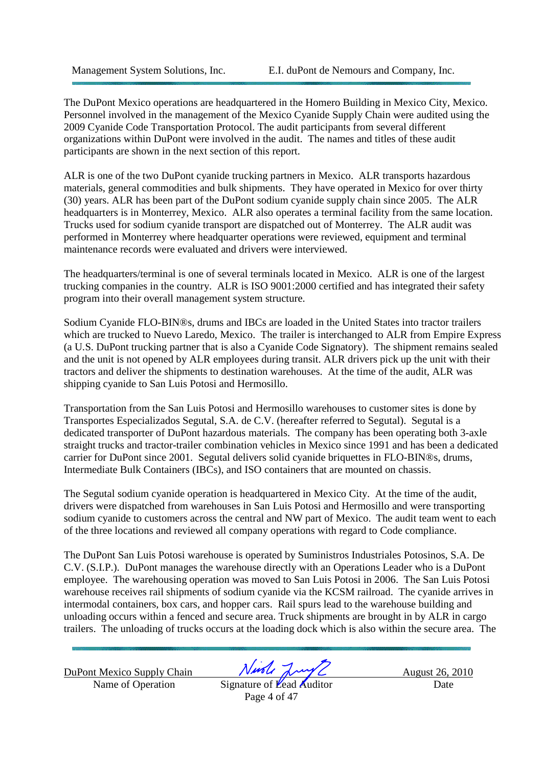The DuPont Mexico operations are headquartered in the Homero Building in Mexico City, Mexico. Personnel involved in the management of the Mexico Cyanide Supply Chain were audited using the 2009 Cyanide Code Transportation Protocol. The audit participants from several different organizations within DuPont were involved in the audit. The names and titles of these audit participants are shown in the next section of this report.

ALR is one of the two DuPont cyanide trucking partners in Mexico. ALR transports hazardous materials, general commodities and bulk shipments. They have operated in Mexico for over thirty (30) years. ALR has been part of the DuPont sodium cyanide supply chain since 2005. The ALR headquarters is in Monterrey, Mexico. ALR also operates a terminal facility from the same location. Trucks used for sodium cyanide transport are dispatched out of Monterrey. The ALR audit was performed in Monterrey where headquarter operations were reviewed, equipment and terminal maintenance records were evaluated and drivers were interviewed.

The headquarters/terminal is one of several terminals located in Mexico. ALR is one of the largest trucking companies in the country. ALR is ISO 9001:2000 certified and has integrated their safety program into their overall management system structure.

Sodium Cyanide FLO-BIN®s, drums and IBCs are loaded in the United States into tractor trailers which are trucked to Nuevo Laredo, Mexico. The trailer is interchanged to ALR from Empire Express (a U.S. DuPont trucking partner that is also a Cyanide Code Signatory). The shipment remains sealed and the unit is not opened by ALR employees during transit. ALR drivers pick up the unit with their tractors and deliver the shipments to destination warehouses. At the time of the audit, ALR was shipping cyanide to San Luis Potosi and Hermosillo.

Transportation from the San Luis Potosi and Hermosillo warehouses to customer sites is done by Transportes Especializados Segutal, S.A. de C.V. (hereafter referred to Segutal). Segutal is a dedicated transporter of DuPont hazardous materials. The company has been operating both 3-axle straight trucks and tractor-trailer combination vehicles in Mexico since 1991 and has been a dedicated carrier for DuPont since 2001. Segutal delivers solid cyanide briquettes in FLO-BIN®s, drums, Intermediate Bulk Containers (IBCs), and ISO containers that are mounted on chassis.

The Segutal sodium cyanide operation is headquartered in Mexico City. At the time of the audit, drivers were dispatched from warehouses in San Luis Potosi and Hermosillo and were transporting sodium cyanide to customers across the central and NW part of Mexico. The audit team went to each of the three locations and reviewed all company operations with regard to Code compliance.

The DuPont San Luis Potosi warehouse is operated by Suministros Industriales Potosinos, S.A. De C.V. (S.I.P.). DuPont manages the warehouse directly with an Operations Leader who is a DuPont employee. The warehousing operation was moved to San Luis Potosi in 2006. The San Luis Potosi warehouse receives rail shipments of sodium cyanide via the KCSM railroad. The cyanide arrives in intermodal containers, box cars, and hopper cars. Rail spurs lead to the warehouse building and unloading occurs within a fenced and secure area. Truck shipments are brought in by ALR in cargo trailers. The unloading of trucks occurs at the loading dock which is also within the secure area. The

Name of Operation Signature of Lead Auditor Date

DuPont Mexico Supply Chain Night Jury 2 August 26, 2010

Page 4 of 47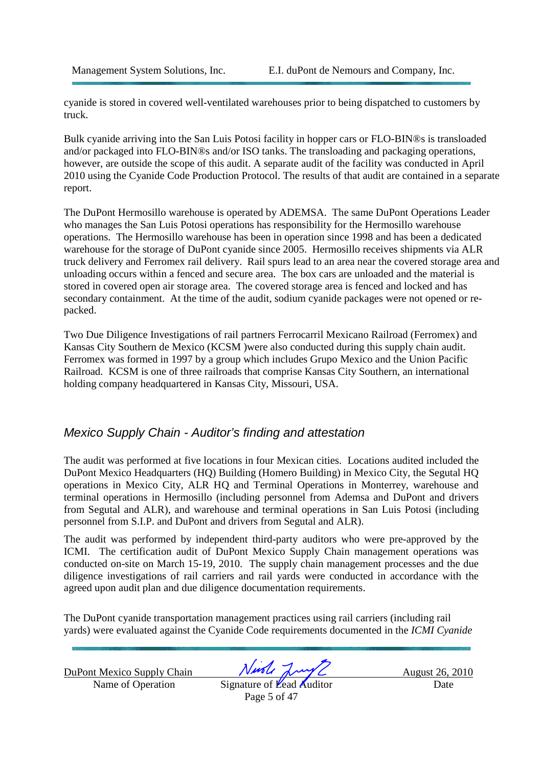cyanide is stored in covered well-ventilated warehouses prior to being dispatched to customers by truck.

Bulk cyanide arriving into the San Luis Potosi facility in hopper cars or FLO-BIN®s is transloaded and/or packaged into FLO-BIN®s and/or ISO tanks. The transloading and packaging operations, however, are outside the scope of this audit. A separate audit of the facility was conducted in April 2010 using the Cyanide Code Production Protocol. The results of that audit are contained in a separate report.

The DuPont Hermosillo warehouse is operated by ADEMSA. The same DuPont Operations Leader who manages the San Luis Potosi operations has responsibility for the Hermosillo warehouse operations. The Hermosillo warehouse has been in operation since 1998 and has been a dedicated warehouse for the storage of DuPont cyanide since 2005. Hermosillo receives shipments via ALR truck delivery and Ferromex rail delivery. Rail spurs lead to an area near the covered storage area and unloading occurs within a fenced and secure area. The box cars are unloaded and the material is stored in covered open air storage area. The covered storage area is fenced and locked and has secondary containment. At the time of the audit, sodium cyanide packages were not opened or repacked.

Two Due Diligence Investigations of rail partners Ferrocarril Mexicano Railroad (Ferromex) and Kansas City Southern de Mexico (KCSM )were also conducted during this supply chain audit. Ferromex was formed in 1997 by a group which includes Grupo Mexico and the Union Pacific Railroad. KCSM is one of three railroads that comprise Kansas City Southern, an international holding company headquartered in Kansas City, Missouri, USA.

### Mexico Supply Chain - Auditor's finding and attestation

The audit was performed at five locations in four Mexican cities. Locations audited included the DuPont Mexico Headquarters (HQ) Building (Homero Building) in Mexico City, the Segutal HQ operations in Mexico City, ALR HQ and Terminal Operations in Monterrey, warehouse and terminal operations in Hermosillo (including personnel from Ademsa and DuPont and drivers from Segutal and ALR), and warehouse and terminal operations in San Luis Potosi (including personnel from S.I.P. and DuPont and drivers from Segutal and ALR).

The audit was performed by independent third-party auditors who were pre-approved by the ICMI. The certification audit of DuPont Mexico Supply Chain management operations was conducted on-site on March 15-19, 2010. The supply chain management processes and the due diligence investigations of rail carriers and rail yards were conducted in accordance with the agreed upon audit plan and due diligence documentation requirements.

The DuPont cyanide transportation management practices using rail carriers (including rail yards) were evaluated against the Cyanide Code requirements documented in the *ICMI Cyanide* 

Name of Operation Signature of Lead Auditor Date

DuPont Mexico Supply Chain  $Nurbl$   $\lambda\mu\gamma\gamma$  August 26, 2010

Page 5 of 47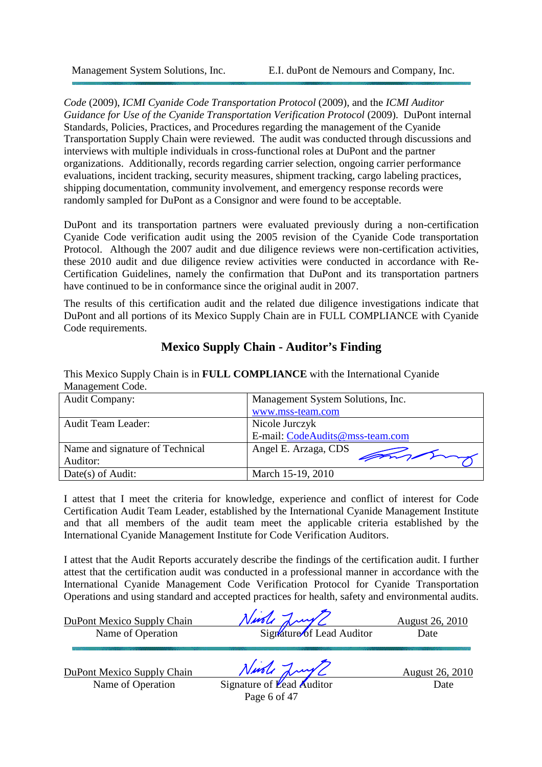*Code* (2009), *ICMI Cyanide Code Transportation Protocol* (2009), and the *ICMI Auditor Guidance for Use of the Cyanide Transportation Verification Protocol (2009).* DuPont internal Standards, Policies, Practices, and Procedures regarding the management of the Cyanide Transportation Supply Chain were reviewed. The audit was conducted through discussions and interviews with multiple individuals in cross-functional roles at DuPont and the partner organizations. Additionally, records regarding carrier selection, ongoing carrier performance evaluations, incident tracking, security measures, shipment tracking, cargo labeling practices, shipping documentation, community involvement, and emergency response records were randomly sampled for DuPont as a Consignor and were found to be acceptable.

DuPont and its transportation partners were evaluated previously during a non-certification Cyanide Code verification audit using the 2005 revision of the Cyanide Code transportation Protocol. Although the 2007 audit and due diligence reviews were non-certification activities, these 2010 audit and due diligence review activities were conducted in accordance with Re-Certification Guidelines, namely the confirmation that DuPont and its transportation partners have continued to be in conformance since the original audit in 2007.

The results of this certification audit and the related due diligence investigations indicate that DuPont and all portions of its Mexico Supply Chain are in FULL COMPLIANCE with Cyanide Code requirements.

### **Mexico Supply Chain - Auditor's Finding**

This Mexico Supply Chain is in **FULL COMPLIANCE** with the International Cyanide Management Code.

| <b>Audit Company:</b>                       | Management System Solutions, Inc. |  |
|---------------------------------------------|-----------------------------------|--|
|                                             | www.mss-team.com                  |  |
| <b>Audit Team Leader:</b>                   | Nicole Jurczyk                    |  |
|                                             | E-mail: CodeAudits@mss-team.com   |  |
| Name and signature of Technical<br>Auditor: | Angel E. Arzaga, CDS<br>monday    |  |
| Date(s) of Audit:                           | March 15-19, 2010                 |  |

I attest that I meet the criteria for knowledge, experience and conflict of interest for Code Certification Audit Team Leader, established by the International Cyanide Management Institute and that all members of the audit team meet the applicable criteria established by the International Cyanide Management Institute for Code Verification Auditors.

I attest that the Audit Reports accurately describe the findings of the certification audit. I further attest that the certification audit was conducted in a professional manner in accordance with the International Cyanide Management Code Verification Protocol for Cyanide Transportation Operations and using standard and accepted practices for health, safety and environmental audits.

| DuPont Mexico Supply Chain | Niede Lung                | <b>August 26, 2010</b> |
|----------------------------|---------------------------|------------------------|
| Name of Operation          | Signature of Lead Auditor | Date                   |

Name of Operation Signature of Lead Auditor Date

DuPont Mexico Supply Chain  $N$ *ust*  $\sqrt{N}$  August 26, 2010

Page 6 of 47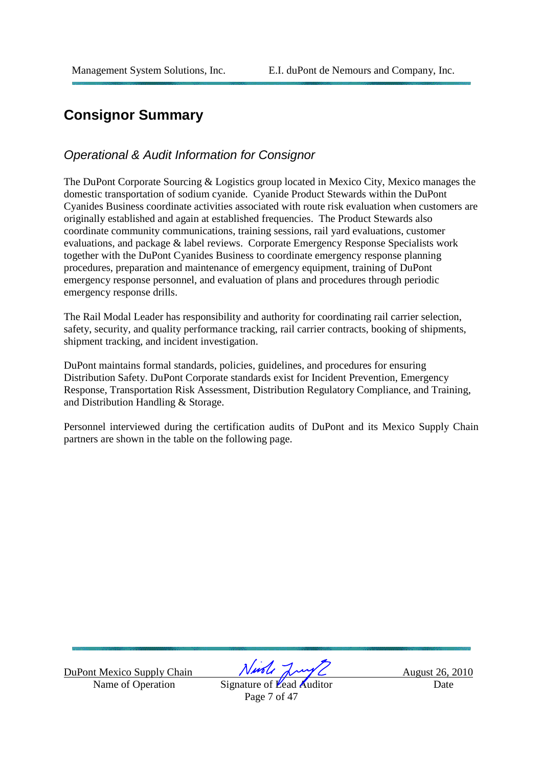# **Consignor Summary**

### Operational & Audit Information for Consignor

The DuPont Corporate Sourcing & Logistics group located in Mexico City, Mexico manages the domestic transportation of sodium cyanide. Cyanide Product Stewards within the DuPont Cyanides Business coordinate activities associated with route risk evaluation when customers are originally established and again at established frequencies. The Product Stewards also coordinate community communications, training sessions, rail yard evaluations, customer evaluations, and package & label reviews. Corporate Emergency Response Specialists work together with the DuPont Cyanides Business to coordinate emergency response planning procedures, preparation and maintenance of emergency equipment, training of DuPont emergency response personnel, and evaluation of plans and procedures through periodic emergency response drills.

The Rail Modal Leader has responsibility and authority for coordinating rail carrier selection, safety, security, and quality performance tracking, rail carrier contracts, booking of shipments, shipment tracking, and incident investigation.

DuPont maintains formal standards, policies, guidelines, and procedures for ensuring Distribution Safety. DuPont Corporate standards exist for Incident Prevention, Emergency Response, Transportation Risk Assessment, Distribution Regulatory Compliance, and Training, and Distribution Handling & Storage.

Personnel interviewed during the certification audits of DuPont and its Mexico Supply Chain partners are shown in the table on the following page.

Name of Operation Signature of Lead Auditor Date

DuPont Mexico Supply Chain  $Nurbl$   $\lambda\mu\gamma\gamma$  August 26, 2010

Page 7 of 47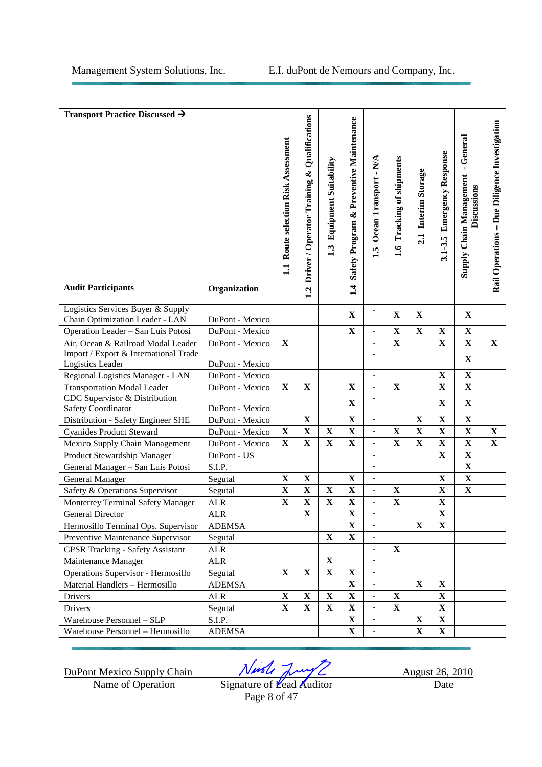| Transport Practice Discussed →<br><b>Audit Participants</b>          | Organization                       | 1.1 Route selection Risk Assessment | Driver / Operator Training & Qualifications<br>1.2 | <b>Equipment Suitability</b><br>1.3 | Safety Program & Preventive Maintenance<br>1.4 | Ocean Transport - N/A<br>1.5 | 1.6 Tracking of shipments | 2.1 Interim Storage | 3.1-3.5 Emergency Response | - General<br><b>Supply Chain Management</b><br>Discussions | Rail Operations - Due Diligence Investigation |
|----------------------------------------------------------------------|------------------------------------|-------------------------------------|----------------------------------------------------|-------------------------------------|------------------------------------------------|------------------------------|---------------------------|---------------------|----------------------------|------------------------------------------------------------|-----------------------------------------------|
|                                                                      |                                    |                                     |                                                    |                                     |                                                |                              |                           |                     |                            |                                                            |                                               |
| Logistics Services Buyer & Supply<br>Chain Optimization Leader - LAN | DuPont - Mexico                    |                                     |                                                    |                                     | $\mathbf X$                                    | $\blacksquare$               | $\mathbf X$               | $\mathbf X$         |                            | $\mathbf X$                                                |                                               |
| Operation Leader - San Luis Potosi                                   | DuPont - Mexico                    |                                     |                                                    |                                     | $\mathbf X$                                    | $\blacksquare$               | $\mathbf X$               | $\mathbf X$         | $\mathbf X$                | $\mathbf X$                                                |                                               |
| Air, Ocean & Railroad Modal Leader                                   | DuPont - Mexico                    | $\mathbf X$                         |                                                    |                                     |                                                | $\blacksquare$               | $\mathbf X$               |                     | $\mathbf X$                | $\mathbf X$                                                | $\mathbf X$                                   |
| Import / Export & International Trade                                |                                    |                                     |                                                    |                                     |                                                |                              |                           |                     |                            | $\mathbf X$                                                |                                               |
| Logistics Leader                                                     | DuPont - Mexico                    |                                     |                                                    |                                     |                                                |                              |                           |                     |                            |                                                            |                                               |
| Regional Logistics Manager - LAN                                     | DuPont - Mexico                    |                                     |                                                    |                                     |                                                | $\blacksquare$               |                           |                     | $\mathbf X$                | $\mathbf X$                                                |                                               |
| <b>Transportation Modal Leader</b>                                   | DuPont - Mexico                    | $\mathbf X$                         | $\mathbf X$                                        |                                     | $\mathbf X$                                    | $\blacksquare$               | $\mathbf X$               |                     | $\mathbf X$                | $\mathbf X$                                                |                                               |
| CDC Supervisor & Distribution                                        |                                    |                                     |                                                    |                                     | X                                              | $\blacksquare$               |                           |                     | $\mathbf X$                | $\mathbf X$                                                |                                               |
| Safety Coordinator                                                   | DuPont - Mexico                    |                                     | $\mathbf X$                                        |                                     | $\mathbf X$                                    | $\blacksquare$               |                           | $\mathbf X$         | $\mathbf X$                | $\mathbf X$                                                |                                               |
| Distribution - Safety Engineer SHE<br>Cyanides Product Steward       | DuPont - Mexico<br>DuPont - Mexico | $\mathbf X$                         | $\mathbf X$                                        | $\mathbf X$                         | $\mathbf X$                                    | $\blacksquare$               | $\mathbf X$               | $\mathbf X$         | $\mathbf X$                | $\mathbf X$                                                | $\mathbf X$                                   |
| Mexico Supply Chain Management                                       | DuPont - Mexico                    | $\mathbf X$                         | $\mathbf X$                                        | $\mathbf X$                         | $\mathbf X$                                    | $\blacksquare$               | $\mathbf X$               | $\mathbf X$         | $\mathbf X$                | $\mathbf X$                                                | $\mathbf X$                                   |
| Product Stewardship Manager                                          | DuPont - US                        |                                     |                                                    |                                     |                                                |                              |                           |                     | $\mathbf X$                | $\mathbf X$                                                |                                               |
| General Manager - San Luis Potosi                                    | S.I.P.                             |                                     |                                                    |                                     |                                                | $\blacksquare$               |                           |                     |                            | $\mathbf X$                                                |                                               |
| General Manager                                                      | Segutal                            | $\mathbf X$                         | $\mathbf X$                                        |                                     | $\mathbf X$                                    | $\blacksquare$               |                           |                     | $\mathbf X$                | $\mathbf X$                                                |                                               |
| Safety & Operations Supervisor                                       | Segutal                            | $\mathbf X$                         | $\mathbf X$                                        | $\mathbf X$                         | $\mathbf X$                                    | $\blacksquare$               | $\mathbf X$               |                     | $\mathbf X$                | $\mathbf X$                                                |                                               |
| Monterrey Terminal Safety Manager                                    | <b>ALR</b>                         | $\mathbf X$                         | $\mathbf X$                                        | $\mathbf X$                         | $\mathbf X$                                    | $\overline{\phantom{a}}$     | $\mathbf X$               |                     | $\mathbf X$                |                                                            |                                               |
| <b>General Director</b>                                              | $\mbox{ALR}$                       |                                     | $\overline{\mathbf{X}}$                            |                                     | $\overline{\mathbf{X}}$                        |                              |                           |                     | $\overline{\mathbf{X}}$    |                                                            |                                               |
| Hermosillo Terminal Ops. Supervisor                                  | <b>ADEMSA</b>                      |                                     |                                                    |                                     | $\mathbf X$                                    |                              |                           | $\mathbf X$         | $\mathbf X$                |                                                            |                                               |
| Preventive Maintenance Supervisor                                    | Segutal                            |                                     |                                                    | $\mathbf X$                         | $\mathbf X$                                    |                              |                           |                     |                            |                                                            |                                               |
| <b>GPSR Tracking - Safety Assistant</b>                              | <b>ALR</b>                         |                                     |                                                    |                                     |                                                | $\blacksquare$               | $\mathbf X$               |                     |                            |                                                            |                                               |
| Maintenance Manager                                                  | <b>ALR</b>                         |                                     |                                                    | $\mathbf X$                         |                                                | $\blacksquare$               |                           |                     |                            |                                                            |                                               |
| Operations Supervisor - Hermosillo                                   | Segutal                            | $\mathbf X$                         | $\mathbf X$                                        | $\mathbf X$                         | $\mathbf X$                                    | $\blacksquare$               |                           |                     |                            |                                                            |                                               |
| Material Handlers - Hermosillo                                       | <b>ADEMSA</b>                      |                                     |                                                    |                                     | $\mathbf X$                                    | $\blacksquare$               |                           | $\mathbf X$         | $\mathbf X$                |                                                            |                                               |
| Drivers                                                              | <b>ALR</b>                         | $\mathbf X$                         | $\mathbf X$                                        | $\mathbf X$                         | $\mathbf X$                                    | $\blacksquare$               | $\mathbf X$               |                     | $\mathbf X$                |                                                            |                                               |
| Drivers                                                              | Segutal                            | $\mathbf X$                         | $\mathbf X$                                        | $\mathbf{X}$                        | $\mathbf X$                                    |                              | $\mathbf X$               |                     | $\mathbf X$                |                                                            |                                               |
| Warehouse Personnel - SLP                                            | S.I.P.                             |                                     |                                                    |                                     | $\mathbf X$                                    |                              |                           | $\mathbf X$         | $\mathbf X$                |                                                            |                                               |
| Warehouse Personnel - Hermosillo                                     | <b>ADEMSA</b>                      |                                     |                                                    |                                     | $\mathbf X$                                    | $\blacksquare$               |                           | $\mathbf X$         | $\mathbf X$                |                                                            |                                               |

<u>DuPont Mexico Supply Chain August 26, 2010</u> Name of Operation Signature of Lead Auditor Date

Page 8 of 47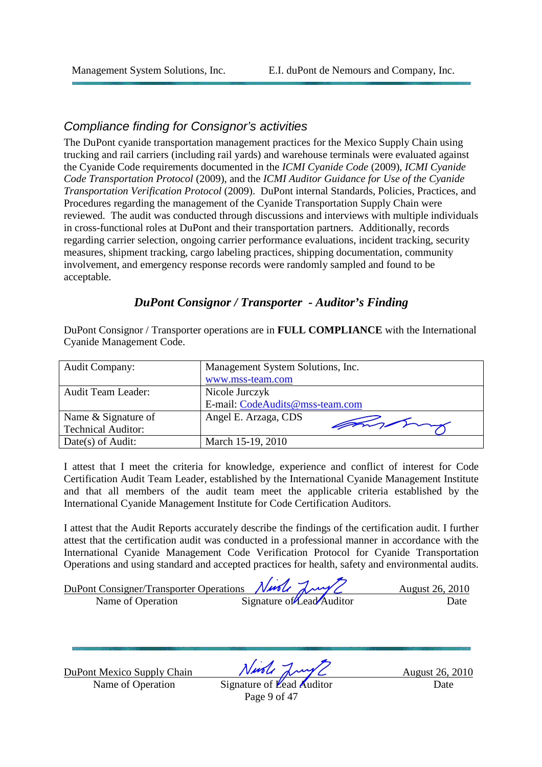### Compliance finding for Consignor's activities

The DuPont cyanide transportation management practices for the Mexico Supply Chain using trucking and rail carriers (including rail yards) and warehouse terminals were evaluated against the Cyanide Code requirements documented in the *ICMI Cyanide Code* (2009), *ICMI Cyanide Code Transportation Protocol* (2009), and the *ICMI Auditor Guidance for Use of the Cyanide Transportation Verification Protocol* (2009). DuPont internal Standards, Policies, Practices, and Procedures regarding the management of the Cyanide Transportation Supply Chain were reviewed. The audit was conducted through discussions and interviews with multiple individuals in cross-functional roles at DuPont and their transportation partners. Additionally, records regarding carrier selection, ongoing carrier performance evaluations, incident tracking, security measures, shipment tracking, cargo labeling practices, shipping documentation, community involvement, and emergency response records were randomly sampled and found to be acceptable.

### *DuPont Consignor / Transporter - Auditor's Finding*

DuPont Consignor / Transporter operations are in **FULL COMPLIANCE** with the International Cyanide Management Code.

| <b>Audit Company:</b>     | Management System Solutions, Inc. |
|---------------------------|-----------------------------------|
|                           | www.mss-team.com                  |
| <b>Audit Team Leader:</b> | Nicole Jurczyk                    |
|                           | E-mail: CodeAudits@mss-team.com   |
| Name & Signature of       | Angel E. Arzaga, CDS              |
| <b>Technical Auditor:</b> | monday                            |
| Date(s) of Audit:         | March 15-19, 2010                 |

I attest that I meet the criteria for knowledge, experience and conflict of interest for Code Certification Audit Team Leader, established by the International Cyanide Management Institute and that all members of the audit team meet the applicable criteria established by the International Cyanide Management Institute for Code Certification Auditors.

I attest that the Audit Reports accurately describe the findings of the certification audit. I further attest that the certification audit was conducted in a professional manner in accordance with the International Cyanide Management Code Verification Protocol for Cyanide Transportation Operations and using standard and accepted practices for health, safety and environmental audits.

| DuPont Consigner/Transporter Operations Ningle Luyl |                           | August 26, 2010 |
|-----------------------------------------------------|---------------------------|-----------------|
| Name of Operation                                   | Signature of Lead Auditor | Date            |

DuPont Mexico Supply Chain  $Nurbl$   $\lambda\mu\gamma\gamma$  August 26, 2010 Name of Operation Signature of Lead Auditor Date

Page 9 of 47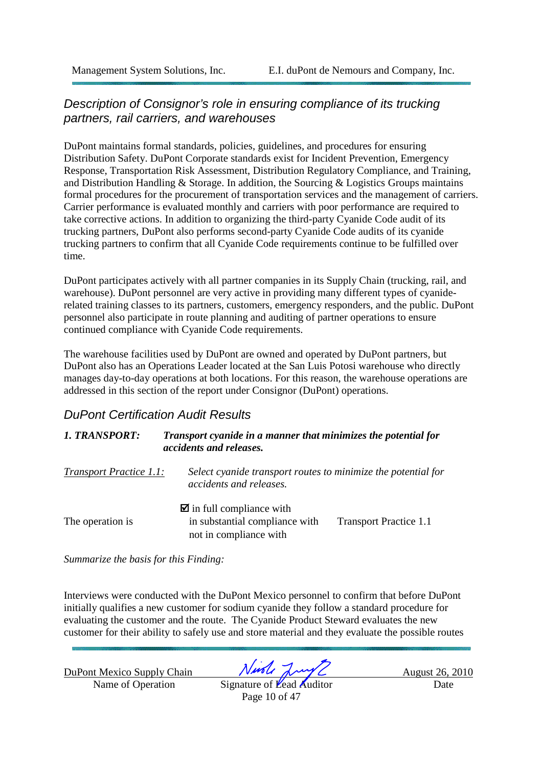### Description of Consignor's role in ensuring compliance of its trucking partners, rail carriers, and warehouses

DuPont maintains formal standards, policies, guidelines, and procedures for ensuring Distribution Safety. DuPont Corporate standards exist for Incident Prevention, Emergency Response, Transportation Risk Assessment, Distribution Regulatory Compliance, and Training, and Distribution Handling & Storage. In addition, the Sourcing & Logistics Groups maintains formal procedures for the procurement of transportation services and the management of carriers. Carrier performance is evaluated monthly and carriers with poor performance are required to take corrective actions. In addition to organizing the third-party Cyanide Code audit of its trucking partners, DuPont also performs second-party Cyanide Code audits of its cyanide trucking partners to confirm that all Cyanide Code requirements continue to be fulfilled over time.

DuPont participates actively with all partner companies in its Supply Chain (trucking, rail, and warehouse). DuPont personnel are very active in providing many different types of cyaniderelated training classes to its partners, customers, emergency responders, and the public. DuPont personnel also participate in route planning and auditing of partner operations to ensure continued compliance with Cyanide Code requirements.

The warehouse facilities used by DuPont are owned and operated by DuPont partners, but DuPont also has an Operations Leader located at the San Luis Potosi warehouse who directly manages day-to-day operations at both locations. For this reason, the warehouse operations are addressed in this section of the report under Consignor (DuPont) operations.

### DuPont Certification Audit Results

### *1. TRANSPORT: Transport cyanide in a manner that minimizes the potential for accidents and releases.*

| <i>Transport Practice 1.1:</i> | Select cyanide transport routes to minimize the potential for<br>accidents and releases.           |                               |  |
|--------------------------------|----------------------------------------------------------------------------------------------------|-------------------------------|--|
| The operation is               | $\blacksquare$ in full compliance with<br>in substantial compliance with<br>not in compliance with | <b>Transport Practice 1.1</b> |  |

*Summarize the basis for this Finding:* 

Interviews were conducted with the DuPont Mexico personnel to confirm that before DuPont initially qualifies a new customer for sodium cyanide they follow a standard procedure for evaluating the customer and the route. The Cyanide Product Steward evaluates the new customer for their ability to safely use and store material and they evaluate the possible routes

Name of Operation Signature of Lead Auditor Date

DuPont Mexico Supply Chain  $Nurb$   $\sqrt{vol}$   $\sqrt{2}$  August 26, 2010

Page 10 of 47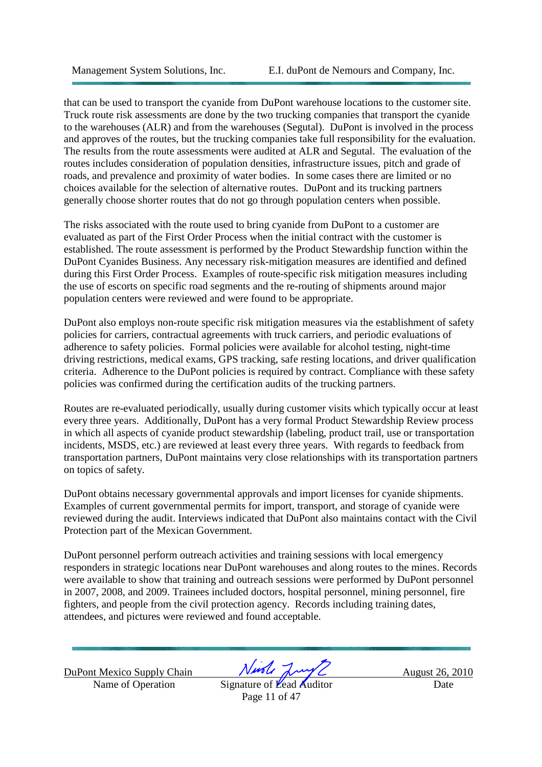that can be used to transport the cyanide from DuPont warehouse locations to the customer site. Truck route risk assessments are done by the two trucking companies that transport the cyanide to the warehouses (ALR) and from the warehouses (Segutal). DuPont is involved in the process and approves of the routes, but the trucking companies take full responsibility for the evaluation. The results from the route assessments were audited at ALR and Segutal. The evaluation of the routes includes consideration of population densities, infrastructure issues, pitch and grade of roads, and prevalence and proximity of water bodies. In some cases there are limited or no choices available for the selection of alternative routes. DuPont and its trucking partners generally choose shorter routes that do not go through population centers when possible.

The risks associated with the route used to bring cyanide from DuPont to a customer are evaluated as part of the First Order Process when the initial contract with the customer is established. The route assessment is performed by the Product Stewardship function within the DuPont Cyanides Business. Any necessary risk-mitigation measures are identified and defined during this First Order Process. Examples of route-specific risk mitigation measures including the use of escorts on specific road segments and the re-routing of shipments around major population centers were reviewed and were found to be appropriate.

DuPont also employs non-route specific risk mitigation measures via the establishment of safety policies for carriers, contractual agreements with truck carriers, and periodic evaluations of adherence to safety policies. Formal policies were available for alcohol testing, night-time driving restrictions, medical exams, GPS tracking, safe resting locations, and driver qualification criteria. Adherence to the DuPont policies is required by contract. Compliance with these safety policies was confirmed during the certification audits of the trucking partners.

Routes are re-evaluated periodically, usually during customer visits which typically occur at least every three years. Additionally, DuPont has a very formal Product Stewardship Review process in which all aspects of cyanide product stewardship (labeling, product trail, use or transportation incidents, MSDS, etc.) are reviewed at least every three years. With regards to feedback from transportation partners, DuPont maintains very close relationships with its transportation partners on topics of safety.

DuPont obtains necessary governmental approvals and import licenses for cyanide shipments. Examples of current governmental permits for import, transport, and storage of cyanide were reviewed during the audit. Interviews indicated that DuPont also maintains contact with the Civil Protection part of the Mexican Government.

DuPont personnel perform outreach activities and training sessions with local emergency responders in strategic locations near DuPont warehouses and along routes to the mines. Records were available to show that training and outreach sessions were performed by DuPont personnel in 2007, 2008, and 2009. Trainees included doctors, hospital personnel, mining personnel, fire fighters, and people from the civil protection agency. Records including training dates, attendees, and pictures were reviewed and found acceptable.

Name of Operation Signature of Lead Auditor Date

DuPont Mexico Supply Chain  $N$ *ust*  $\sqrt{N}$  August 26, 2010

Page 11 of 47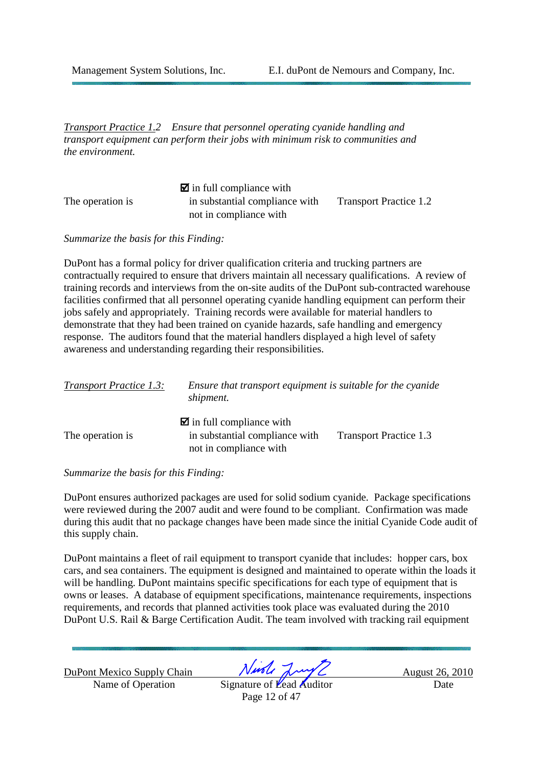*Transport Practice 1.2 Ensure that personnel operating cyanide handling and transport equipment can perform their jobs with minimum risk to communities and the environment.* 

|                  | $\blacksquare$ in full compliance with |                               |
|------------------|----------------------------------------|-------------------------------|
| The operation is | in substantial compliance with         | <b>Transport Practice 1.2</b> |
|                  | not in compliance with                 |                               |

*Summarize the basis for this Finding:* 

DuPont has a formal policy for driver qualification criteria and trucking partners are contractually required to ensure that drivers maintain all necessary qualifications. A review of training records and interviews from the on-site audits of the DuPont sub-contracted warehouse facilities confirmed that all personnel operating cyanide handling equipment can perform their jobs safely and appropriately. Training records were available for material handlers to demonstrate that they had been trained on cyanide hazards, safe handling and emergency response. The auditors found that the material handlers displayed a high level of safety awareness and understanding regarding their responsibilities.

| <b>Transport Practice 1.3:</b> | Ensure that transport equipment is suitable for the cyanide<br>shipment.                           |                               |  |  |
|--------------------------------|----------------------------------------------------------------------------------------------------|-------------------------------|--|--|
| The operation is               | $\blacksquare$ in full compliance with<br>in substantial compliance with<br>not in compliance with | <b>Transport Practice 1.3</b> |  |  |

*Summarize the basis for this Finding:* 

DuPont ensures authorized packages are used for solid sodium cyanide. Package specifications were reviewed during the 2007 audit and were found to be compliant. Confirmation was made during this audit that no package changes have been made since the initial Cyanide Code audit of this supply chain.

DuPont maintains a fleet of rail equipment to transport cyanide that includes: hopper cars, box cars, and sea containers. The equipment is designed and maintained to operate within the loads it will be handling. DuPont maintains specific specifications for each type of equipment that is owns or leases. A database of equipment specifications, maintenance requirements, inspections requirements, and records that planned activities took place was evaluated during the 2010 DuPont U.S. Rail & Barge Certification Audit. The team involved with tracking rail equipment

Name of Operation Signature of Lead Auditor Date

DuPont Mexico Supply Chain Night Jury 2 August 26, 2010

Page 12 of 47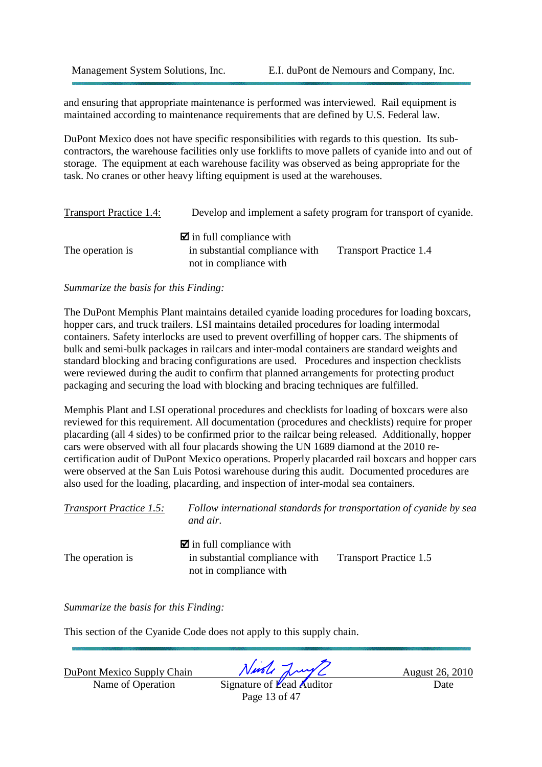and ensuring that appropriate maintenance is performed was interviewed. Rail equipment is maintained according to maintenance requirements that are defined by U.S. Federal law.

DuPont Mexico does not have specific responsibilities with regards to this question. Its subcontractors, the warehouse facilities only use forklifts to move pallets of cyanide into and out of storage. The equipment at each warehouse facility was observed as being appropriate for the task. No cranes or other heavy lifting equipment is used at the warehouses.

| <b>Transport Practice 1.4:</b> | Develop and implement a safety program for transport of cyanide.                                   |                               |  |
|--------------------------------|----------------------------------------------------------------------------------------------------|-------------------------------|--|
| The operation is               | $\blacksquare$ in full compliance with<br>in substantial compliance with<br>not in compliance with | <b>Transport Practice 1.4</b> |  |

#### *Summarize the basis for this Finding:*

The DuPont Memphis Plant maintains detailed cyanide loading procedures for loading boxcars, hopper cars, and truck trailers. LSI maintains detailed procedures for loading intermodal containers. Safety interlocks are used to prevent overfilling of hopper cars. The shipments of bulk and semi-bulk packages in railcars and inter-modal containers are standard weights and standard blocking and bracing configurations are used. Procedures and inspection checklists were reviewed during the audit to confirm that planned arrangements for protecting product packaging and securing the load with blocking and bracing techniques are fulfilled.

Memphis Plant and LSI operational procedures and checklists for loading of boxcars were also reviewed for this requirement. All documentation (procedures and checklists) require for proper placarding (all 4 sides) to be confirmed prior to the railcar being released. Additionally, hopper cars were observed with all four placards showing the UN 1689 diamond at the 2010 recertification audit of DuPont Mexico operations. Properly placarded rail boxcars and hopper cars were observed at the San Luis Potosi warehouse during this audit. Documented procedures are also used for the loading, placarding, and inspection of inter-modal sea containers.

| <b>Transport Practice 1.5:</b> | Follow international standards for transportation of cyanide by sea<br>and air.                    |                               |
|--------------------------------|----------------------------------------------------------------------------------------------------|-------------------------------|
| The operation is               | $\blacksquare$ in full compliance with<br>in substantial compliance with<br>not in compliance with | <b>Transport Practice 1.5</b> |

*Summarize the basis for this Finding:* 

This section of the Cyanide Code does not apply to this supply chain.

Name of Operation Signature of Lead Auditor Date

DuPont Mexico Supply Chain  $Nurbl$   $\lambda\mu\gamma\gamma$  August 26, 2010

Page 13 of 47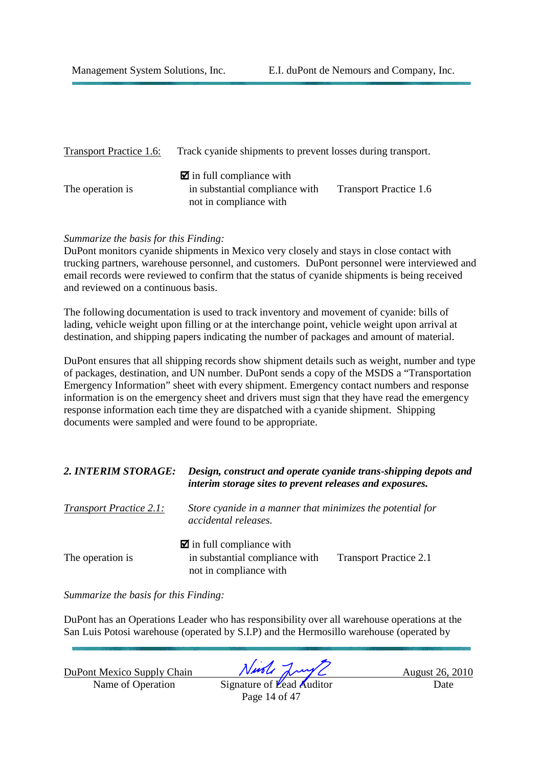| <b>Transport Practice 1.6:</b> | Track cyanide shipments to prevent losses during transport.                                        |                               |
|--------------------------------|----------------------------------------------------------------------------------------------------|-------------------------------|
| The operation is               | $\blacksquare$ in full compliance with<br>in substantial compliance with<br>not in compliance with | <b>Transport Practice 1.6</b> |

*Summarize the basis for this Finding:*

DuPont monitors cyanide shipments in Mexico very closely and stays in close contact with trucking partners, warehouse personnel, and customers. DuPont personnel were interviewed and email records were reviewed to confirm that the status of cyanide shipments is being received and reviewed on a continuous basis.

The following documentation is used to track inventory and movement of cyanide: bills of lading, vehicle weight upon filling or at the interchange point, vehicle weight upon arrival at destination, and shipping papers indicating the number of packages and amount of material.

DuPont ensures that all shipping records show shipment details such as weight, number and type of packages, destination, and UN number. DuPont sends a copy of the MSDS a "Transportation Emergency Information" sheet with every shipment. Emergency contact numbers and response information is on the emergency sheet and drivers must sign that they have read the emergency response information each time they are dispatched with a cyanide shipment. Shipping documents were sampled and were found to be appropriate.

| 2. INTERIM STORAGE:            | Design, construct and operate cyanide trans-shipping depots and<br>interim storage sites to prevent releases and exposures.<br>Store cyanide in a manner that minimizes the potential for<br>accidental releases. |                               |
|--------------------------------|-------------------------------------------------------------------------------------------------------------------------------------------------------------------------------------------------------------------|-------------------------------|
| <b>Transport Practice 2.1:</b> |                                                                                                                                                                                                                   |                               |
| The operation is               | $\blacksquare$ in full compliance with<br>in substantial compliance with<br>not in compliance with                                                                                                                | <b>Transport Practice 2.1</b> |

*Summarize the basis for this Finding:* 

DuPont has an Operations Leader who has responsibility over all warehouse operations at the San Luis Potosi warehouse (operated by S.I.P) and the Hermosillo warehouse (operated by

Name of Operation Signature of Lead Auditor Date

DuPont Mexico Supply Chain  $Nurb$   $\sqrt{vol}$   $\sqrt{2}$  August 26, 2010

Page 14 of 47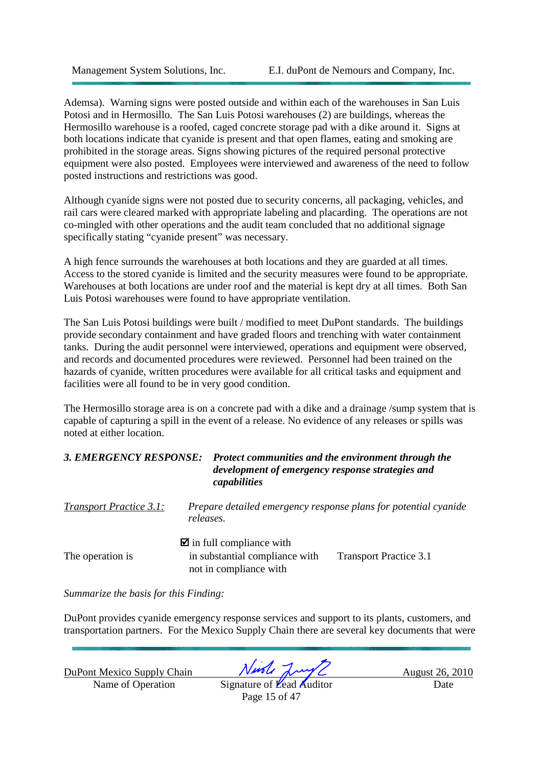Ademsa). Warning signs were posted outside and within each of the warehouses in San Luis Potosi and in Hermosillo. The San Luis Potosi warehouses (2) are buildings, whereas the Hermosillo warehouse is a roofed, caged concrete storage pad with a dike around it. Signs at both locations indicate that cyanide is present and that open flames, eating and smoking are prohibited in the storage areas. Signs showing pictures of the required personal protective equipment were also posted. Employees were interviewed and awareness of the need to follow posted instructions and restrictions was good.

Although cyanide signs were not posted due to security concerns, all packaging, vehicles, and rail cars were cleared marked with appropriate labeling and placarding. The operations are not co-mingled with other operations and the audit team concluded that no additional signage specifically stating "cyanide present" was necessary.

A high fence surrounds the warehouses at both locations and they are guarded at all times. Access to the stored cyanide is limited and the security measures were found to be appropriate. Warehouses at both locations are under roof and the material is kept dry at all times. Both San Luis Potosi warehouses were found to have appropriate ventilation.

The San Luis Potosi buildings were built / modified to meet DuPont standards. The buildings provide secondary containment and have graded floors and trenching with water containment tanks. During the audit personnel were interviewed, operations and equipment were observed, and records and documented procedures were reviewed. Personnel had been trained on the hazards of cyanide, written procedures were available for all critical tasks and equipment and facilities were all found to be in very good condition.

The Hermosillo storage area is on a concrete pad with a dike and a drainage /sump system that is capable of capturing a spill in the event of a release. No evidence of any releases or spills was noted at either location.

| <b>3. EMERGENCY RESPONSE:</b>  | Protect communities and the environment through the<br>development of emergency response strategies and<br>capabilities             |
|--------------------------------|-------------------------------------------------------------------------------------------------------------------------------------|
| <i>Transport Practice 3.1:</i> | Prepare detailed emergency response plans for potential cyanide<br>releases.                                                        |
| The operation is               | $\blacksquare$ in full compliance with<br>in substantial compliance with<br><b>Transport Practice 3.1</b><br>not in compliance with |

*Summarize the basis for this Finding:* 

DuPont provides cyanide emergency response services and support to its plants, customers, and transportation partners. For the Mexico Supply Chain there are several key documents that were

Name of Operation Signature of Lead Auditor Date

DuPont Mexico Supply Chain  $Nurb$   $\lambda$ uple  $\lambda$ 

Page 15 of 47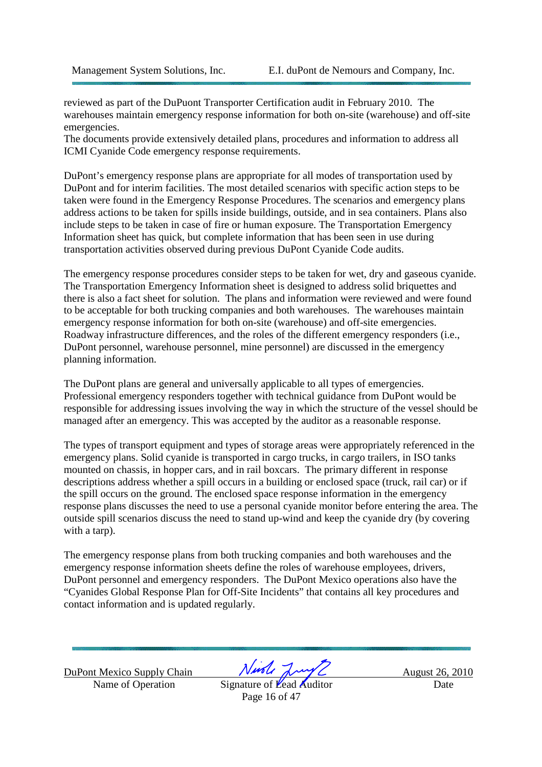reviewed as part of the DuPuont Transporter Certification audit in February 2010. The warehouses maintain emergency response information for both on-site (warehouse) and off-site emergencies.

The documents provide extensively detailed plans, procedures and information to address all ICMI Cyanide Code emergency response requirements.

DuPont's emergency response plans are appropriate for all modes of transportation used by DuPont and for interim facilities. The most detailed scenarios with specific action steps to be taken were found in the Emergency Response Procedures. The scenarios and emergency plans address actions to be taken for spills inside buildings, outside, and in sea containers. Plans also include steps to be taken in case of fire or human exposure. The Transportation Emergency Information sheet has quick, but complete information that has been seen in use during transportation activities observed during previous DuPont Cyanide Code audits.

The emergency response procedures consider steps to be taken for wet, dry and gaseous cyanide. The Transportation Emergency Information sheet is designed to address solid briquettes and there is also a fact sheet for solution. The plans and information were reviewed and were found to be acceptable for both trucking companies and both warehouses. The warehouses maintain emergency response information for both on-site (warehouse) and off-site emergencies. Roadway infrastructure differences, and the roles of the different emergency responders (i.e., DuPont personnel, warehouse personnel, mine personnel) are discussed in the emergency planning information.

The DuPont plans are general and universally applicable to all types of emergencies. Professional emergency responders together with technical guidance from DuPont would be responsible for addressing issues involving the way in which the structure of the vessel should be managed after an emergency. This was accepted by the auditor as a reasonable response.

The types of transport equipment and types of storage areas were appropriately referenced in the emergency plans. Solid cyanide is transported in cargo trucks, in cargo trailers, in ISO tanks mounted on chassis, in hopper cars, and in rail boxcars. The primary different in response descriptions address whether a spill occurs in a building or enclosed space (truck, rail car) or if the spill occurs on the ground. The enclosed space response information in the emergency response plans discusses the need to use a personal cyanide monitor before entering the area. The outside spill scenarios discuss the need to stand up-wind and keep the cyanide dry (by covering with a tarp).

The emergency response plans from both trucking companies and both warehouses and the emergency response information sheets define the roles of warehouse employees, drivers, DuPont personnel and emergency responders. The DuPont Mexico operations also have the "Cyanides Global Response Plan for Off-Site Incidents" that contains all key procedures and contact information and is updated regularly.

Name of Operation Signature of Lead Auditor Date

DuPont Mexico Supply Chain  $N$ *ust*  $\sqrt{N}$  August 26, 2010

Page 16 of 47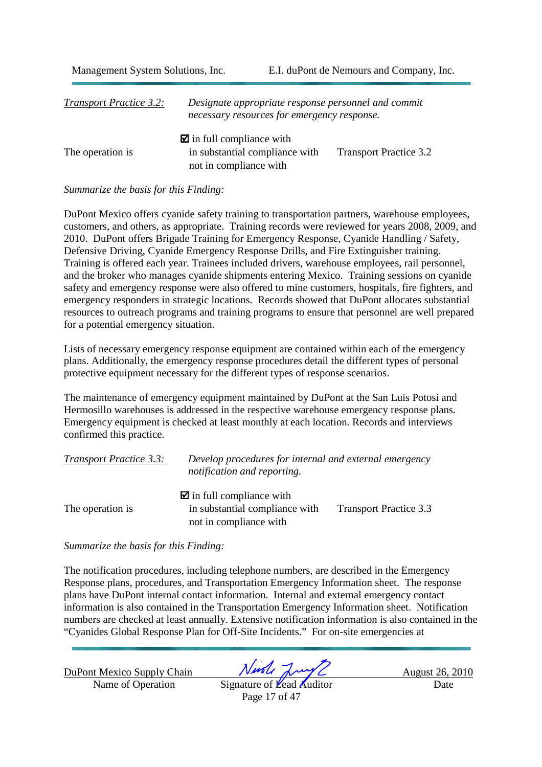| <b>Transport Practice 3.2:</b> | Designate appropriate response personnel and commit<br>necessary resources for emergency response. |                               |
|--------------------------------|----------------------------------------------------------------------------------------------------|-------------------------------|
| The operation is               | $\blacksquare$ in full compliance with<br>in substantial compliance with<br>not in compliance with | <b>Transport Practice 3.2</b> |

*Summarize the basis for this Finding:* 

DuPont Mexico offers cyanide safety training to transportation partners, warehouse employees, customers, and others, as appropriate. Training records were reviewed for years 2008, 2009, and 2010. DuPont offers Brigade Training for Emergency Response, Cyanide Handling / Safety, Defensive Driving, Cyanide Emergency Response Drills, and Fire Extinguisher training. Training is offered each year. Trainees included drivers, warehouse employees, rail personnel, and the broker who manages cyanide shipments entering Mexico. Training sessions on cyanide safety and emergency response were also offered to mine customers, hospitals, fire fighters, and emergency responders in strategic locations. Records showed that DuPont allocates substantial resources to outreach programs and training programs to ensure that personnel are well prepared for a potential emergency situation.

Lists of necessary emergency response equipment are contained within each of the emergency plans. Additionally, the emergency response procedures detail the different types of personal protective equipment necessary for the different types of response scenarios.

The maintenance of emergency equipment maintained by DuPont at the San Luis Potosi and Hermosillo warehouses is addressed in the respective warehouse emergency response plans. Emergency equipment is checked at least monthly at each location. Records and interviews confirmed this practice.

| <b>Transport Practice 3.3:</b> | Develop procedures for internal and external emergency<br>notification and reporting.              |                               |
|--------------------------------|----------------------------------------------------------------------------------------------------|-------------------------------|
| The operation is               | $\blacksquare$ in full compliance with<br>in substantial compliance with<br>not in compliance with | <b>Transport Practice 3.3</b> |

*Summarize the basis for this Finding:* 

The notification procedures, including telephone numbers, are described in the Emergency Response plans, procedures, and Transportation Emergency Information sheet. The response plans have DuPont internal contact information. Internal and external emergency contact information is also contained in the Transportation Emergency Information sheet. Notification numbers are checked at least annually. Extensive notification information is also contained in the "Cyanides Global Response Plan for Off-Site Incidents." For on-site emergencies at

Name of Operation Signature of Lead Auditor Date

DuPont Mexico Supply Chain  $Nurb$   $\lambda$ usle  $\lambda$ uy  $\lambda$  August 26, 2010

Page 17 of 47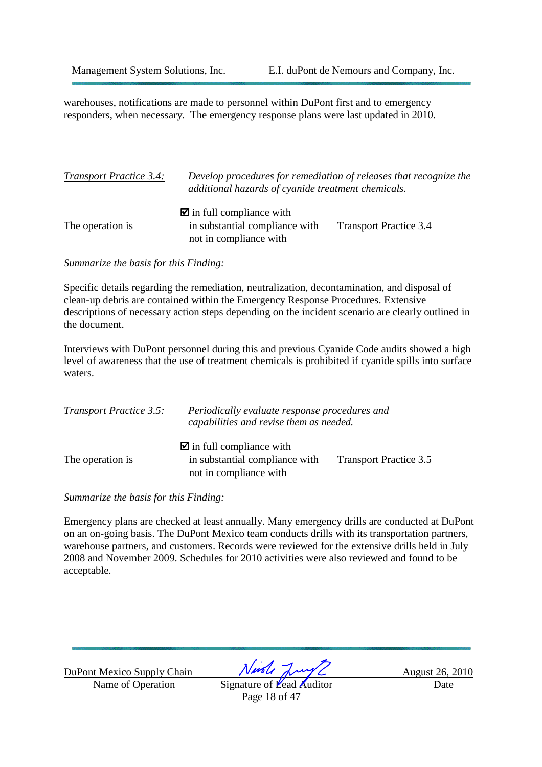warehouses, notifications are made to personnel within DuPont first and to emergency responders, when necessary. The emergency response plans were last updated in 2010.

| <b>Transport Practice 3.4:</b> | Develop procedures for remediation of releases that recognize the<br>additional hazards of cyanide treatment chemicals. |                               |
|--------------------------------|-------------------------------------------------------------------------------------------------------------------------|-------------------------------|
| The operation is               | $\blacksquare$ in full compliance with<br>in substantial compliance with<br>not in compliance with                      | <b>Transport Practice 3.4</b> |

*Summarize the basis for this Finding:* 

Specific details regarding the remediation, neutralization, decontamination, and disposal of clean-up debris are contained within the Emergency Response Procedures. Extensive descriptions of necessary action steps depending on the incident scenario are clearly outlined in the document.

Interviews with DuPont personnel during this and previous Cyanide Code audits showed a high level of awareness that the use of treatment chemicals is prohibited if cyanide spills into surface waters.

| <b>Transport Practice 3.5:</b> | Periodically evaluate response procedures and<br>capabilities and revise them as needed.           |                               |
|--------------------------------|----------------------------------------------------------------------------------------------------|-------------------------------|
| The operation is               | $\blacksquare$ in full compliance with<br>in substantial compliance with<br>not in compliance with | <b>Transport Practice 3.5</b> |

*Summarize the basis for this Finding:* 

Emergency plans are checked at least annually. Many emergency drills are conducted at DuPont on an on-going basis. The DuPont Mexico team conducts drills with its transportation partners, warehouse partners, and customers. Records were reviewed for the extensive drills held in July 2008 and November 2009. Schedules for 2010 activities were also reviewed and found to be acceptable.

Name of Operation Signature of Lead Auditor Date

DuPont Mexico Supply Chain  $Nurbl$   $\lambda\mu\gamma\gamma$  August 26, 2010

Page 18 of 47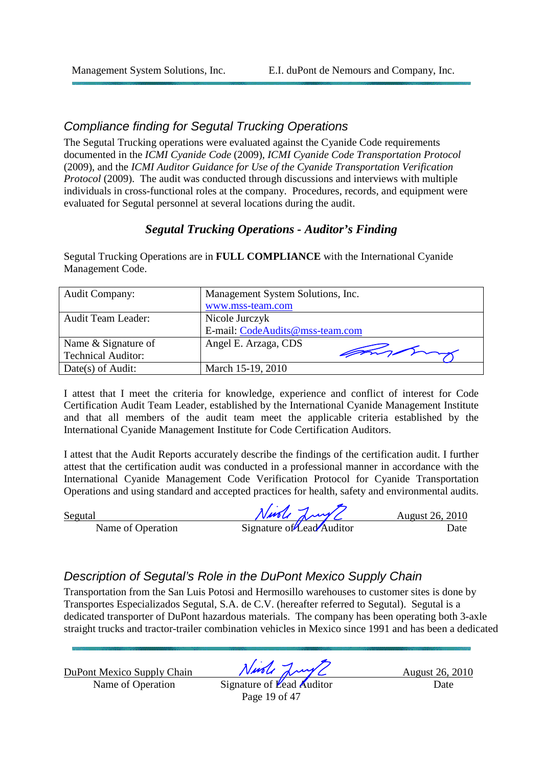### Compliance finding for Segutal Trucking Operations

The Segutal Trucking operations were evaluated against the Cyanide Code requirements documented in the *ICMI Cyanide Code* (2009), *ICMI Cyanide Code Transportation Protocol* (2009), and the *ICMI Auditor Guidance for Use of the Cyanide Transportation Verification Protocol* (2009). The audit was conducted through discussions and interviews with multiple individuals in cross-functional roles at the company. Procedures, records, and equipment were evaluated for Segutal personnel at several locations during the audit.

### *Segutal Trucking Operations - Auditor's Finding*

Segutal Trucking Operations are in **FULL COMPLIANCE** with the International Cyanide Management Code.

| <b>Audit Company:</b>     | Management System Solutions, Inc. |
|---------------------------|-----------------------------------|
|                           | www.mss-team.com                  |
| <b>Audit Team Leader:</b> | Nicole Jurczyk                    |
|                           | E-mail: CodeAudits@mss-team.com   |
| Name & Signature of       | Angel E. Arzaga, CDS              |
| <b>Technical Auditor:</b> | mym                               |
| Date(s) of Audit:         | March 15-19, 2010                 |

I attest that I meet the criteria for knowledge, experience and conflict of interest for Code Certification Audit Team Leader, established by the International Cyanide Management Institute and that all members of the audit team meet the applicable criteria established by the International Cyanide Management Institute for Code Certification Auditors.

I attest that the Audit Reports accurately describe the findings of the certification audit. I further attest that the certification audit was conducted in a professional manner in accordance with the International Cyanide Management Code Verification Protocol for Cyanide Transportation Operations and using standard and accepted practices for health, safety and environmental audits.

Segutal  $N$ urg $U \sim \frac{N}{N}$ Name of Operation Signature of Lead Auditor Date

### Description of Segutal's Role in the DuPont Mexico Supply Chain

Transportation from the San Luis Potosi and Hermosillo warehouses to customer sites is done by Transportes Especializados Segutal, S.A. de C.V. (hereafter referred to Segutal). Segutal is a dedicated transporter of DuPont hazardous materials. The company has been operating both 3-axle straight trucks and tractor-trailer combination vehicles in Mexico since 1991 and has been a dedicated

Name of Operation Signature of Lead Auditor Date

DuPont Mexico Supply Chain  $Nurbl$   $\lambda\mu\gamma\gamma$  August 26, 2010

Page 19 of 47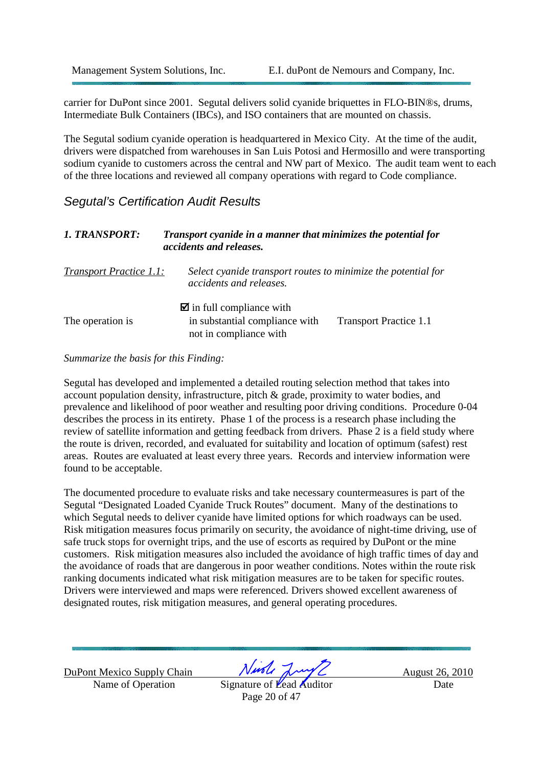carrier for DuPont since 2001. Segutal delivers solid cyanide briquettes in FLO-BIN®s, drums, Intermediate Bulk Containers (IBCs), and ISO containers that are mounted on chassis.

The Segutal sodium cyanide operation is headquartered in Mexico City. At the time of the audit, drivers were dispatched from warehouses in San Luis Potosi and Hermosillo and were transporting sodium cyanide to customers across the central and NW part of Mexico. The audit team went to each of the three locations and reviewed all company operations with regard to Code compliance.

### Segutal's Certification Audit Results

| 1. TRANSPORT:                  | Transport cyanide in a manner that minimizes the potential for<br>accidents and releases.<br>Select cyanide transport routes to minimize the potential for<br>accidents and releases. |                               |
|--------------------------------|---------------------------------------------------------------------------------------------------------------------------------------------------------------------------------------|-------------------------------|
| <b>Transport Practice 1.1:</b> |                                                                                                                                                                                       |                               |
| The operation is               | $\blacksquare$ in full compliance with<br>in substantial compliance with<br>not in compliance with                                                                                    | <b>Transport Practice 1.1</b> |

#### *Summarize the basis for this Finding:*

Segutal has developed and implemented a detailed routing selection method that takes into account population density, infrastructure, pitch & grade, proximity to water bodies, and prevalence and likelihood of poor weather and resulting poor driving conditions. Procedure 0-04 describes the process in its entirety. Phase 1 of the process is a research phase including the review of satellite information and getting feedback from drivers. Phase 2 is a field study where the route is driven, recorded, and evaluated for suitability and location of optimum (safest) rest areas. Routes are evaluated at least every three years. Records and interview information were found to be acceptable.

The documented procedure to evaluate risks and take necessary countermeasures is part of the Segutal "Designated Loaded Cyanide Truck Routes" document. Many of the destinations to which Segutal needs to deliver cyanide have limited options for which roadways can be used. Risk mitigation measures focus primarily on security, the avoidance of night-time driving, use of safe truck stops for overnight trips, and the use of escorts as required by DuPont or the mine customers. Risk mitigation measures also included the avoidance of high traffic times of day and the avoidance of roads that are dangerous in poor weather conditions. Notes within the route risk ranking documents indicated what risk mitigation measures are to be taken for specific routes. Drivers were interviewed and maps were referenced. Drivers showed excellent awareness of designated routes, risk mitigation measures, and general operating procedures.

DuPont Mexico Supply Chain  $N$ *ust*  $\sqrt{N}$  August 26, 2010

Name of Operation Signature of Lead Auditor Date Page 20 of 47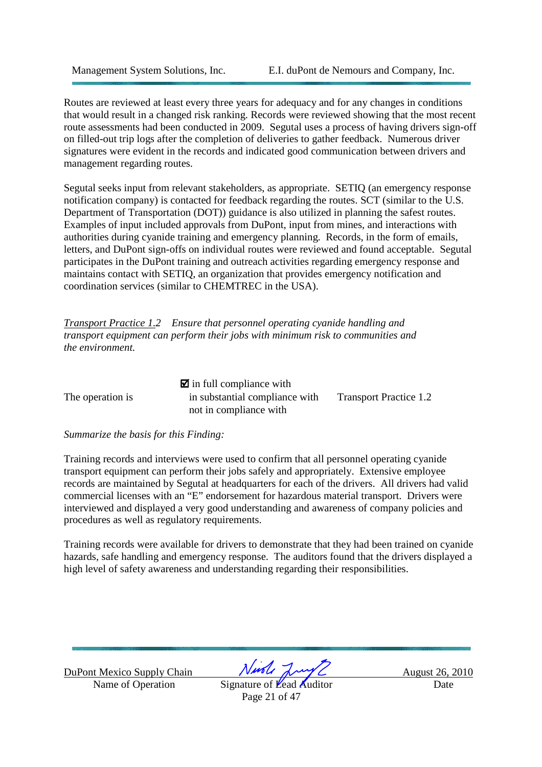Routes are reviewed at least every three years for adequacy and for any changes in conditions that would result in a changed risk ranking. Records were reviewed showing that the most recent route assessments had been conducted in 2009. Segutal uses a process of having drivers sign-off on filled-out trip logs after the completion of deliveries to gather feedback. Numerous driver signatures were evident in the records and indicated good communication between drivers and management regarding routes.

Segutal seeks input from relevant stakeholders, as appropriate. SETIQ (an emergency response notification company) is contacted for feedback regarding the routes. SCT (similar to the U.S. Department of Transportation (DOT)) guidance is also utilized in planning the safest routes. Examples of input included approvals from DuPont, input from mines, and interactions with authorities during cyanide training and emergency planning. Records, in the form of emails, letters, and DuPont sign-offs on individual routes were reviewed and found acceptable. Segutal participates in the DuPont training and outreach activities regarding emergency response and maintains contact with SETIQ, an organization that provides emergency notification and coordination services (similar to CHEMTREC in the USA).

*Transport Practice 1.2 Ensure that personnel operating cyanide handling and transport equipment can perform their jobs with minimum risk to communities and the environment.* 

 $\blacksquare$  in full compliance with The operation is  $\qquad \qquad$  in substantial compliance with Transport Practice 1.2 not in compliance with

*Summarize the basis for this Finding:* 

Training records and interviews were used to confirm that all personnel operating cyanide transport equipment can perform their jobs safely and appropriately. Extensive employee records are maintained by Segutal at headquarters for each of the drivers. All drivers had valid commercial licenses with an "E" endorsement for hazardous material transport. Drivers were interviewed and displayed a very good understanding and awareness of company policies and procedures as well as regulatory requirements.

Training records were available for drivers to demonstrate that they had been trained on cyanide hazards, safe handling and emergency response. The auditors found that the drivers displayed a high level of safety awareness and understanding regarding their responsibilities.

DuPont Mexico Supply Chain  $Nurbl$   $\lambda\mu\gamma\gamma$  August 26, 2010

Name of Operation Signature of Lead Auditor Date Page 21 of 47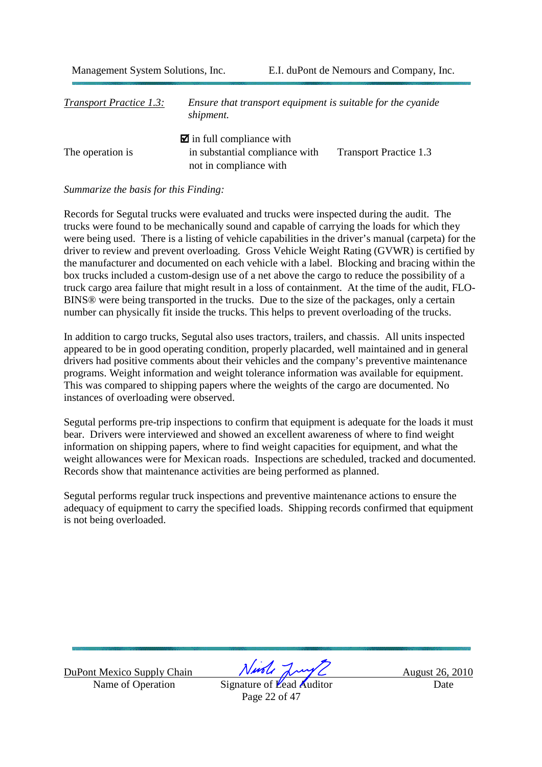| <b>Transport Practice 1.3:</b> | Ensure that transport equipment is suitable for the cyanide<br>shipment.                           |                               |
|--------------------------------|----------------------------------------------------------------------------------------------------|-------------------------------|
| The operation is               | $\blacksquare$ in full compliance with<br>in substantial compliance with<br>not in compliance with | <b>Transport Practice 1.3</b> |

#### *Summarize the basis for this Finding:*

Records for Segutal trucks were evaluated and trucks were inspected during the audit. The trucks were found to be mechanically sound and capable of carrying the loads for which they were being used. There is a listing of vehicle capabilities in the driver's manual (carpeta) for the driver to review and prevent overloading. Gross Vehicle Weight Rating (GVWR) is certified by the manufacturer and documented on each vehicle with a label. Blocking and bracing within the box trucks included a custom-design use of a net above the cargo to reduce the possibility of a truck cargo area failure that might result in a loss of containment. At the time of the audit, FLO-BINS® were being transported in the trucks. Due to the size of the packages, only a certain number can physically fit inside the trucks. This helps to prevent overloading of the trucks.

In addition to cargo trucks, Segutal also uses tractors, trailers, and chassis. All units inspected appeared to be in good operating condition, properly placarded, well maintained and in general drivers had positive comments about their vehicles and the company's preventive maintenance programs. Weight information and weight tolerance information was available for equipment. This was compared to shipping papers where the weights of the cargo are documented. No instances of overloading were observed.

Segutal performs pre-trip inspections to confirm that equipment is adequate for the loads it must bear. Drivers were interviewed and showed an excellent awareness of where to find weight information on shipping papers, where to find weight capacities for equipment, and what the weight allowances were for Mexican roads. Inspections are scheduled, tracked and documented. Records show that maintenance activities are being performed as planned.

Segutal performs regular truck inspections and preventive maintenance actions to ensure the adequacy of equipment to carry the specified loads. Shipping records confirmed that equipment is not being overloaded.

DuPont Mexico Supply Chain  $\frac{\sqrt{\mu\sqrt{\ell}}\sqrt{\mu\sqrt{\ell}}}{\sqrt{\ell}}$  August 26, 2010

Signature of Lead Auditor Date Page 22 of 47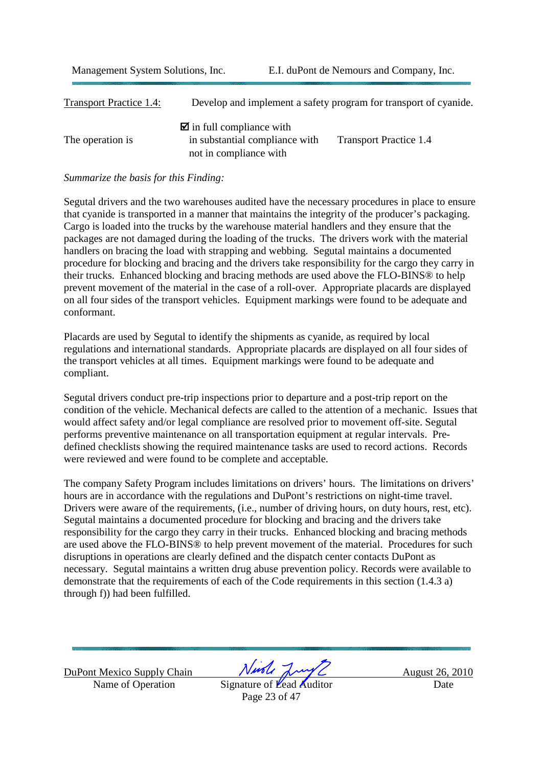Management System Solutions, Inc. E.I. duPont de Nemours and Company, Inc. Transport Practice 1.4: Develop and implement a safety program for transport of cyanide.  $\blacksquare$  in full compliance with The operation is  $\frac{1}{4}$  in substantial compliance with Transport Practice 1.4

not in compliance with

*Summarize the basis for this Finding:* 

Segutal drivers and the two warehouses audited have the necessary procedures in place to ensure that cyanide is transported in a manner that maintains the integrity of the producer's packaging. Cargo is loaded into the trucks by the warehouse material handlers and they ensure that the packages are not damaged during the loading of the trucks. The drivers work with the material handlers on bracing the load with strapping and webbing. Segutal maintains a documented procedure for blocking and bracing and the drivers take responsibility for the cargo they carry in their trucks. Enhanced blocking and bracing methods are used above the FLO-BINS® to help prevent movement of the material in the case of a roll-over. Appropriate placards are displayed on all four sides of the transport vehicles. Equipment markings were found to be adequate and conformant.

Placards are used by Segutal to identify the shipments as cyanide, as required by local regulations and international standards. Appropriate placards are displayed on all four sides of the transport vehicles at all times. Equipment markings were found to be adequate and compliant.

Segutal drivers conduct pre-trip inspections prior to departure and a post-trip report on the condition of the vehicle. Mechanical defects are called to the attention of a mechanic. Issues that would affect safety and/or legal compliance are resolved prior to movement off-site. Segutal performs preventive maintenance on all transportation equipment at regular intervals. Predefined checklists showing the required maintenance tasks are used to record actions. Records were reviewed and were found to be complete and acceptable.

The company Safety Program includes limitations on drivers' hours. The limitations on drivers' hours are in accordance with the regulations and DuPont's restrictions on night-time travel. Drivers were aware of the requirements, (i.e., number of driving hours, on duty hours, rest, etc). Segutal maintains a documented procedure for blocking and bracing and the drivers take responsibility for the cargo they carry in their trucks. Enhanced blocking and bracing methods are used above the FLO-BINS® to help prevent movement of the material. Procedures for such disruptions in operations are clearly defined and the dispatch center contacts DuPont as necessary. Segutal maintains a written drug abuse prevention policy. Records were available to demonstrate that the requirements of each of the Code requirements in this section (1.4.3 a) through f)) had been fulfilled.

DuPont Mexico Supply Chain  $N$ *ust*  $\sqrt{N}$  August 26, 2010

Name of Operation Signature of Lead Auditor Date Page 23 of 47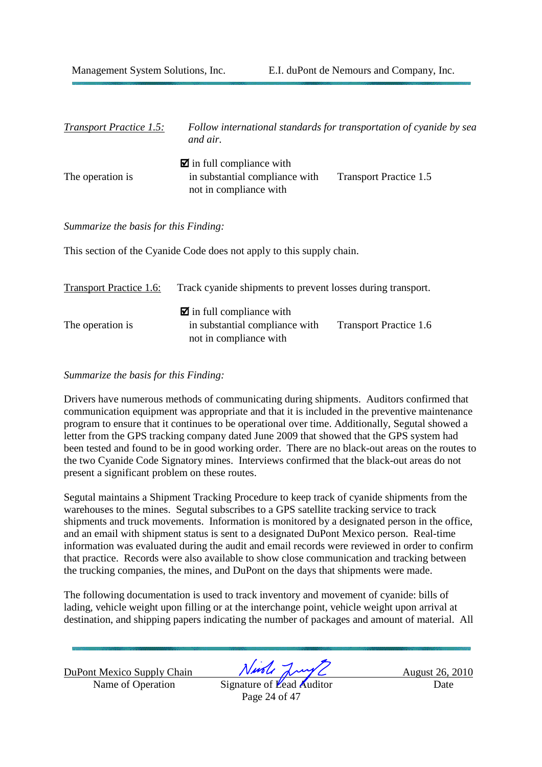| <b>Transport Practice 1.5:</b>        | Follow international standards for transportation of cyanide by sea<br>and air.                    |                               |
|---------------------------------------|----------------------------------------------------------------------------------------------------|-------------------------------|
| The operation is                      | $\blacksquare$ in full compliance with<br>in substantial compliance with<br>not in compliance with | <b>Transport Practice 1.5</b> |
| Summarize the basis for this Finding: |                                                                                                    |                               |
|                                       | This section of the Cyanide Code does not apply to this supply chain.                              |                               |
| Transport Dractica 1 6.               | Track cypnide chinments to prevent losses during transport                                         |                               |

| Transport Fractice T.O. | Track Cyannuc shipments to prevent rosses utiling transport.                                       |                               |
|-------------------------|----------------------------------------------------------------------------------------------------|-------------------------------|
| The operation is        | $\blacksquare$ in full compliance with<br>in substantial compliance with<br>not in compliance with | <b>Transport Practice 1.6</b> |

*Summarize the basis for this Finding:*

Drivers have numerous methods of communicating during shipments. Auditors confirmed that communication equipment was appropriate and that it is included in the preventive maintenance program to ensure that it continues to be operational over time. Additionally, Segutal showed a letter from the GPS tracking company dated June 2009 that showed that the GPS system had been tested and found to be in good working order. There are no black-out areas on the routes to the two Cyanide Code Signatory mines. Interviews confirmed that the black-out areas do not present a significant problem on these routes.

Segutal maintains a Shipment Tracking Procedure to keep track of cyanide shipments from the warehouses to the mines. Segutal subscribes to a GPS satellite tracking service to track shipments and truck movements. Information is monitored by a designated person in the office, and an email with shipment status is sent to a designated DuPont Mexico person. Real-time information was evaluated during the audit and email records were reviewed in order to confirm that practice. Records were also available to show close communication and tracking between the trucking companies, the mines, and DuPont on the days that shipments were made.

The following documentation is used to track inventory and movement of cyanide: bills of lading, vehicle weight upon filling or at the interchange point, vehicle weight upon arrival at destination, and shipping papers indicating the number of packages and amount of material. All

DuPont Mexico Supply Chain  $\sqrt{M/M}$   $\sqrt{M/M}$  August 26, 2010 Name of Operation March 1997 Signature of Lead Auditor Date

Page 24 of 47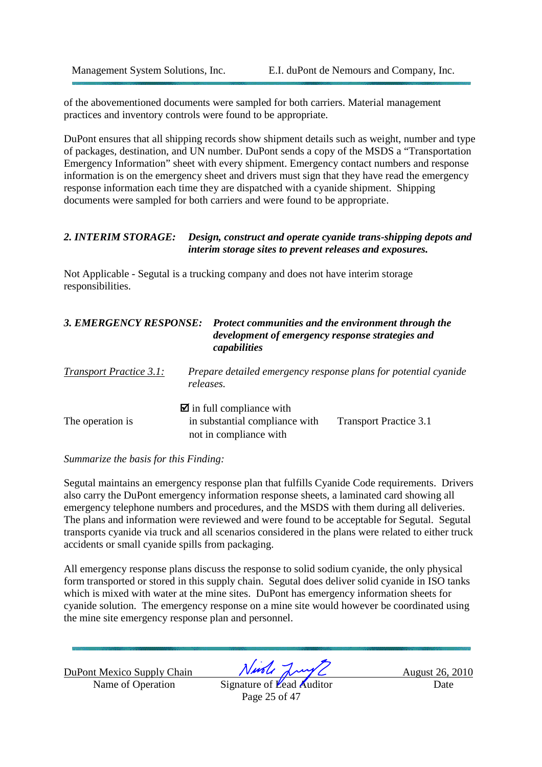of the abovementioned documents were sampled for both carriers. Material management practices and inventory controls were found to be appropriate.

DuPont ensures that all shipping records show shipment details such as weight, number and type of packages, destination, and UN number. DuPont sends a copy of the MSDS a "Transportation Emergency Information" sheet with every shipment. Emergency contact numbers and response information is on the emergency sheet and drivers must sign that they have read the emergency response information each time they are dispatched with a cyanide shipment. Shipping documents were sampled for both carriers and were found to be appropriate.

### *2. INTERIM STORAGE: Design, construct and operate cyanide trans-shipping depots and interim storage sites to prevent releases and exposures.*

Not Applicable - Segutal is a trucking company and does not have interim storage responsibilities.

not in compliance with

## *3. EMERGENCY RESPONSE: Protect communities and the environment through the development of emergency response strategies and capabilities Transport Practice 3.1: Prepare detailed emergency response plans for potential cyanide releases.*   $\blacksquare$  in full compliance with The operation is in substantial compliance with Transport Practice 3.1

### *Summarize the basis for this Finding:*

Segutal maintains an emergency response plan that fulfills Cyanide Code requirements. Drivers also carry the DuPont emergency information response sheets, a laminated card showing all emergency telephone numbers and procedures, and the MSDS with them during all deliveries. The plans and information were reviewed and were found to be acceptable for Segutal. Segutal transports cyanide via truck and all scenarios considered in the plans were related to either truck accidents or small cyanide spills from packaging.

All emergency response plans discuss the response to solid sodium cyanide, the only physical form transported or stored in this supply chain. Segutal does deliver solid cyanide in ISO tanks which is mixed with water at the mine sites. DuPont has emergency information sheets for cyanide solution. The emergency response on a mine site would however be coordinated using the mine site emergency response plan and personnel.

Name of Operation Signature of Lead Auditor Date

DuPont Mexico Supply Chain  $Nurbl$   $\lambda\mu\gamma\gamma$  August 26, 2010

Page 25 of 47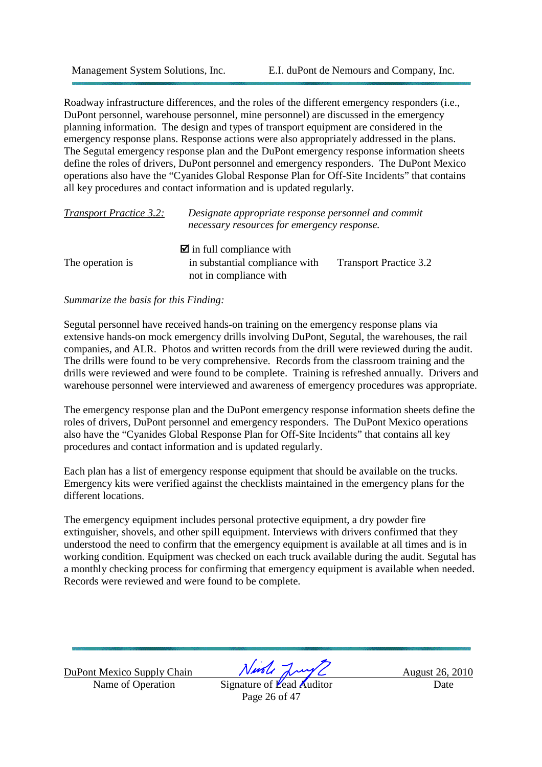Roadway infrastructure differences, and the roles of the different emergency responders (i.e., DuPont personnel, warehouse personnel, mine personnel) are discussed in the emergency planning information. The design and types of transport equipment are considered in the emergency response plans. Response actions were also appropriately addressed in the plans. The Segutal emergency response plan and the DuPont emergency response information sheets define the roles of drivers, DuPont personnel and emergency responders. The DuPont Mexico operations also have the "Cyanides Global Response Plan for Off-Site Incidents" that contains all key procedures and contact information and is updated regularly.

| <b>Transport Practice 3.2:</b> | Designate appropriate response personnel and commit<br>necessary resources for emergency response. |                               |
|--------------------------------|----------------------------------------------------------------------------------------------------|-------------------------------|
|                                | $\blacksquare$ in full compliance with                                                             |                               |
| The operation is               | in substantial compliance with                                                                     | <b>Transport Practice 3.2</b> |
|                                | not in compliance with                                                                             |                               |

#### *Summarize the basis for this Finding:*

Segutal personnel have received hands-on training on the emergency response plans via extensive hands-on mock emergency drills involving DuPont, Segutal, the warehouses, the rail companies, and ALR. Photos and written records from the drill were reviewed during the audit. The drills were found to be very comprehensive. Records from the classroom training and the drills were reviewed and were found to be complete. Training is refreshed annually. Drivers and warehouse personnel were interviewed and awareness of emergency procedures was appropriate.

The emergency response plan and the DuPont emergency response information sheets define the roles of drivers, DuPont personnel and emergency responders. The DuPont Mexico operations also have the "Cyanides Global Response Plan for Off-Site Incidents" that contains all key procedures and contact information and is updated regularly.

Each plan has a list of emergency response equipment that should be available on the trucks. Emergency kits were verified against the checklists maintained in the emergency plans for the different locations.

The emergency equipment includes personal protective equipment, a dry powder fire extinguisher, shovels, and other spill equipment. Interviews with drivers confirmed that they understood the need to confirm that the emergency equipment is available at all times and is in working condition. Equipment was checked on each truck available during the audit. Segutal has a monthly checking process for confirming that emergency equipment is available when needed. Records were reviewed and were found to be complete.

Name of Operation Signature of Lead Auditor Date

DuPont Mexico Supply Chain  $N$ *ust*  $\sqrt{N}$  August 26, 2010

Page 26 of 47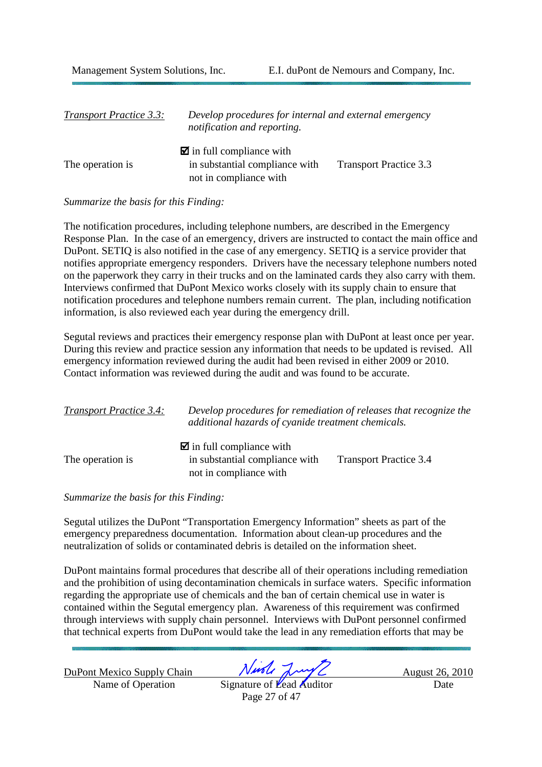| <b>Transport Practice 3.3:</b> | Develop procedures for internal and external emergency<br>notification and reporting.              |                               |
|--------------------------------|----------------------------------------------------------------------------------------------------|-------------------------------|
| The operation is               | $\blacksquare$ in full compliance with<br>in substantial compliance with<br>not in compliance with | <b>Transport Practice 3.3</b> |

#### *Summarize the basis for this Finding:*

The notification procedures, including telephone numbers, are described in the Emergency Response Plan. In the case of an emergency, drivers are instructed to contact the main office and DuPont. SETIQ is also notified in the case of any emergency. SETIQ is a service provider that notifies appropriate emergency responders. Drivers have the necessary telephone numbers noted on the paperwork they carry in their trucks and on the laminated cards they also carry with them. Interviews confirmed that DuPont Mexico works closely with its supply chain to ensure that notification procedures and telephone numbers remain current. The plan, including notification information, is also reviewed each year during the emergency drill.

Segutal reviews and practices their emergency response plan with DuPont at least once per year. During this review and practice session any information that needs to be updated is revised. All emergency information reviewed during the audit had been revised in either 2009 or 2010. Contact information was reviewed during the audit and was found to be accurate.

| <b>Transport Practice 3.4:</b> | Develop procedures for remediation of releases that recognize the<br>additional hazards of cyanide treatment chemicals. |                               |
|--------------------------------|-------------------------------------------------------------------------------------------------------------------------|-------------------------------|
| The operation is               | $\blacksquare$ in full compliance with<br>in substantial compliance with<br>not in compliance with                      | <b>Transport Practice 3.4</b> |

*Summarize the basis for this Finding:* 

Segutal utilizes the DuPont "Transportation Emergency Information" sheets as part of the emergency preparedness documentation. Information about clean-up procedures and the neutralization of solids or contaminated debris is detailed on the information sheet.

DuPont maintains formal procedures that describe all of their operations including remediation and the prohibition of using decontamination chemicals in surface waters. Specific information regarding the appropriate use of chemicals and the ban of certain chemical use in water is contained within the Segutal emergency plan. Awareness of this requirement was confirmed through interviews with supply chain personnel. Interviews with DuPont personnel confirmed that technical experts from DuPont would take the lead in any remediation efforts that may be

Name of Operation Signature of Lead Auditor Date

DuPont Mexico Supply Chain Night Jury 2 August 26, 2010

Page 27 of 47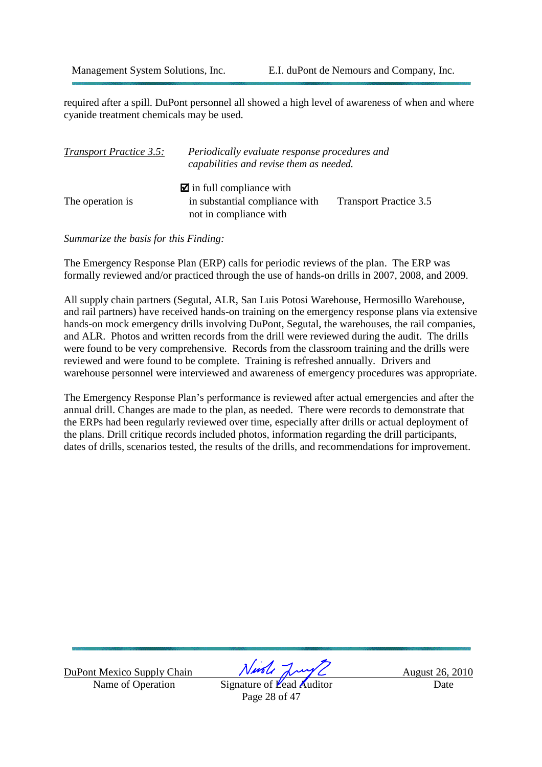required after a spill. DuPont personnel all showed a high level of awareness of when and where cyanide treatment chemicals may be used.

| <b>Transport Practice 3.5:</b> | Periodically evaluate response procedures and<br>capabilities and revise them as needed.           |                               |
|--------------------------------|----------------------------------------------------------------------------------------------------|-------------------------------|
| The operation is               | $\blacksquare$ in full compliance with<br>in substantial compliance with<br>not in compliance with | <b>Transport Practice 3.5</b> |

*Summarize the basis for this Finding:* 

The Emergency Response Plan (ERP) calls for periodic reviews of the plan. The ERP was formally reviewed and/or practiced through the use of hands-on drills in 2007, 2008, and 2009.

All supply chain partners (Segutal, ALR, San Luis Potosi Warehouse, Hermosillo Warehouse, and rail partners) have received hands-on training on the emergency response plans via extensive hands-on mock emergency drills involving DuPont, Segutal, the warehouses, the rail companies, and ALR. Photos and written records from the drill were reviewed during the audit. The drills were found to be very comprehensive. Records from the classroom training and the drills were reviewed and were found to be complete. Training is refreshed annually. Drivers and warehouse personnel were interviewed and awareness of emergency procedures was appropriate.

The Emergency Response Plan's performance is reviewed after actual emergencies and after the annual drill. Changes are made to the plan, as needed. There were records to demonstrate that the ERPs had been regularly reviewed over time, especially after drills or actual deployment of the plans. Drill critique records included photos, information regarding the drill participants, dates of drills, scenarios tested, the results of the drills, and recommendations for improvement.

Name of Operation Signature of Lead Auditor Date

DuPont Mexico Supply Chain  $Nurbl$   $\lambda \sim \sqrt{2}$  August 26, 2010

Page 28 of 47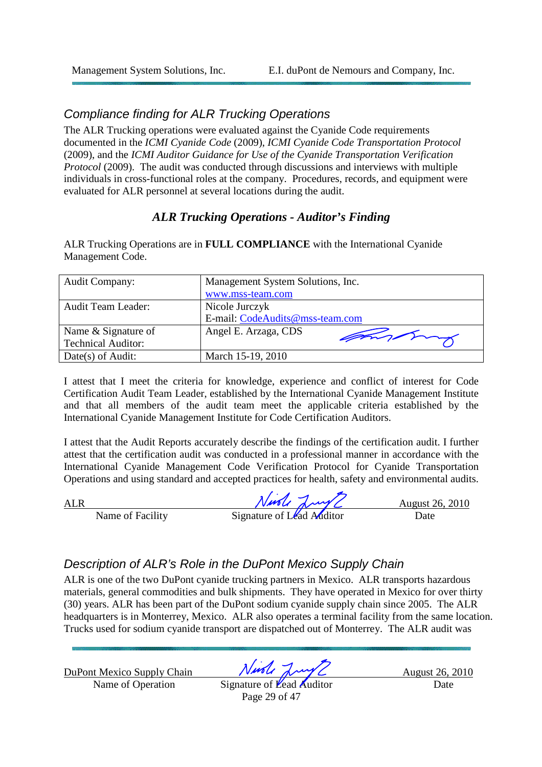### Compliance finding for ALR Trucking Operations

The ALR Trucking operations were evaluated against the Cyanide Code requirements documented in the *ICMI Cyanide Code* (2009), *ICMI Cyanide Code Transportation Protocol* (2009), and the *ICMI Auditor Guidance for Use of the Cyanide Transportation Verification Protocol* (2009). The audit was conducted through discussions and interviews with multiple individuals in cross-functional roles at the company. Procedures, records, and equipment were evaluated for ALR personnel at several locations during the audit.

### *ALR Trucking Operations - Auditor's Finding*

ALR Trucking Operations are in **FULL COMPLIANCE** with the International Cyanide Management Code.

| <b>Audit Company:</b>     | Management System Solutions, Inc. |
|---------------------------|-----------------------------------|
|                           | www.mss-team.com                  |
| <b>Audit Team Leader:</b> | Nicole Jurczyk                    |
|                           | E-mail: CodeAudits@mss-team.com   |
| Name & Signature of       | Angel E. Arzaga, CDS<br>myting    |
| <b>Technical Auditor:</b> |                                   |
| Date(s) of Audit:         | March 15-19, 2010                 |

I attest that I meet the criteria for knowledge, experience and conflict of interest for Code Certification Audit Team Leader, established by the International Cyanide Management Institute and that all members of the audit team meet the applicable criteria established by the International Cyanide Management Institute for Code Certification Auditors.

I attest that the Audit Reports accurately describe the findings of the certification audit. I further attest that the certification audit was conducted in a professional manner in accordance with the International Cyanide Management Code Verification Protocol for Cyanide Transportation Operations and using standard and accepted practices for health, safety and environmental audits.

| ALR              | Nurle Luy                 | <b>August 26, 2010</b> |
|------------------|---------------------------|------------------------|
| Name of Facility | Signature of Lead Additor | Date                   |

### Description of ALR's Role in the DuPont Mexico Supply Chain

ALR is one of the two DuPont cyanide trucking partners in Mexico. ALR transports hazardous materials, general commodities and bulk shipments. They have operated in Mexico for over thirty (30) years. ALR has been part of the DuPont sodium cyanide supply chain since 2005. The ALR headquarters is in Monterrey, Mexico. ALR also operates a terminal facility from the same location. Trucks used for sodium cyanide transport are dispatched out of Monterrey. The ALR audit was

Name of Operation Signature of Lead Auditor Date

DuPont Mexico Supply Chain  $Nurb$   $\sqrt{vol}$   $\sqrt{2}$  August 26, 2010

Page 29 of 47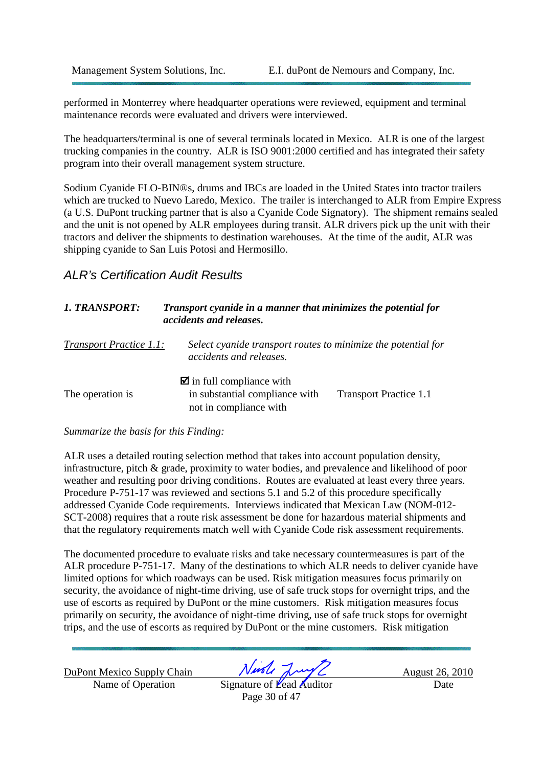performed in Monterrey where headquarter operations were reviewed, equipment and terminal maintenance records were evaluated and drivers were interviewed.

The headquarters/terminal is one of several terminals located in Mexico. ALR is one of the largest trucking companies in the country. ALR is ISO 9001:2000 certified and has integrated their safety program into their overall management system structure.

Sodium Cyanide FLO-BIN®s, drums and IBCs are loaded in the United States into tractor trailers which are trucked to Nuevo Laredo, Mexico. The trailer is interchanged to ALR from Empire Express (a U.S. DuPont trucking partner that is also a Cyanide Code Signatory). The shipment remains sealed and the unit is not opened by ALR employees during transit. ALR drivers pick up the unit with their tractors and deliver the shipments to destination warehouses. At the time of the audit, ALR was shipping cyanide to San Luis Potosi and Hermosillo.

### ALR's Certification Audit Results

| 1. TRANSPORT:           | Transport cyanide in a manner that minimizes the potential for<br>accidents and releases.          |                               |
|-------------------------|----------------------------------------------------------------------------------------------------|-------------------------------|
| Transport Practice 1.1: | Select cyanide transport routes to minimize the potential for<br>accidents and releases.           |                               |
| The operation is        | $\blacksquare$ in full compliance with<br>in substantial compliance with<br>not in compliance with | <b>Transport Practice 1.1</b> |

#### *Summarize the basis for this Finding:*

ALR uses a detailed routing selection method that takes into account population density, infrastructure, pitch & grade, proximity to water bodies, and prevalence and likelihood of poor weather and resulting poor driving conditions. Routes are evaluated at least every three years. Procedure P-751-17 was reviewed and sections 5.1 and 5.2 of this procedure specifically addressed Cyanide Code requirements. Interviews indicated that Mexican Law (NOM-012- SCT-2008) requires that a route risk assessment be done for hazardous material shipments and that the regulatory requirements match well with Cyanide Code risk assessment requirements.

The documented procedure to evaluate risks and take necessary countermeasures is part of the ALR procedure P-751-17. Many of the destinations to which ALR needs to deliver cyanide have limited options for which roadways can be used. Risk mitigation measures focus primarily on security, the avoidance of night-time driving, use of safe truck stops for overnight trips, and the use of escorts as required by DuPont or the mine customers. Risk mitigation measures focus primarily on security, the avoidance of night-time driving, use of safe truck stops for overnight trips, and the use of escorts as required by DuPont or the mine customers. Risk mitigation

Name of Operation Signature of Lead Auditor Date

DuPont Mexico Supply Chain  $Nurb$   $\sqrt{vol}$   $\sqrt{2}$  August 26, 2010

Page 30 of 47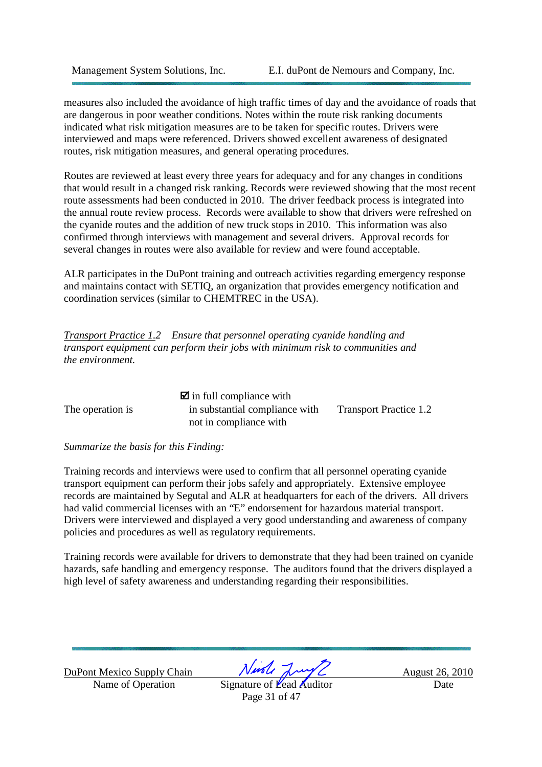measures also included the avoidance of high traffic times of day and the avoidance of roads that are dangerous in poor weather conditions. Notes within the route risk ranking documents indicated what risk mitigation measures are to be taken for specific routes. Drivers were interviewed and maps were referenced. Drivers showed excellent awareness of designated routes, risk mitigation measures, and general operating procedures.

Routes are reviewed at least every three years for adequacy and for any changes in conditions that would result in a changed risk ranking. Records were reviewed showing that the most recent route assessments had been conducted in 2010. The driver feedback process is integrated into the annual route review process. Records were available to show that drivers were refreshed on the cyanide routes and the addition of new truck stops in 2010. This information was also confirmed through interviews with management and several drivers. Approval records for several changes in routes were also available for review and were found acceptable.

ALR participates in the DuPont training and outreach activities regarding emergency response and maintains contact with SETIQ, an organization that provides emergency notification and coordination services (similar to CHEMTREC in the USA).

*Transport Practice 1.2 Ensure that personnel operating cyanide handling and transport equipment can perform their jobs with minimum risk to communities and the environment.* 

|                  | $\blacksquare$ in full compliance with |                               |
|------------------|----------------------------------------|-------------------------------|
| The operation is | in substantial compliance with         | <b>Transport Practice 1.2</b> |
|                  | not in compliance with                 |                               |

*Summarize the basis for this Finding:* 

Training records and interviews were used to confirm that all personnel operating cyanide transport equipment can perform their jobs safely and appropriately. Extensive employee records are maintained by Segutal and ALR at headquarters for each of the drivers. All drivers had valid commercial licenses with an "E" endorsement for hazardous material transport. Drivers were interviewed and displayed a very good understanding and awareness of company policies and procedures as well as regulatory requirements.

Training records were available for drivers to demonstrate that they had been trained on cyanide hazards, safe handling and emergency response. The auditors found that the drivers displayed a high level of safety awareness and understanding regarding their responsibilities.

Name of Operation Signature of Lead Auditor Date

DuPont Mexico Supply Chain  $Nurbl$   $\lambda\mu\gamma\gamma$  August 26, 2010

Page 31 of 47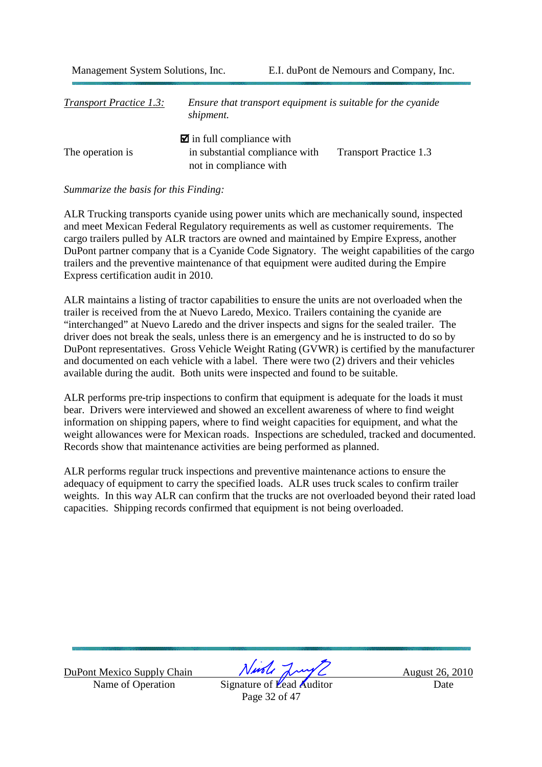| <b>Transport Practice 1.3:</b> | Ensure that transport equipment is suitable for the cyanide<br>shipment.                           |                               |
|--------------------------------|----------------------------------------------------------------------------------------------------|-------------------------------|
| The operation is               | $\blacksquare$ in full compliance with<br>in substantial compliance with<br>not in compliance with | <b>Transport Practice 1.3</b> |

*Summarize the basis for this Finding:* 

ALR Trucking transports cyanide using power units which are mechanically sound, inspected and meet Mexican Federal Regulatory requirements as well as customer requirements. The cargo trailers pulled by ALR tractors are owned and maintained by Empire Express, another DuPont partner company that is a Cyanide Code Signatory. The weight capabilities of the cargo trailers and the preventive maintenance of that equipment were audited during the Empire Express certification audit in 2010.

ALR maintains a listing of tractor capabilities to ensure the units are not overloaded when the trailer is received from the at Nuevo Laredo, Mexico. Trailers containing the cyanide are "interchanged" at Nuevo Laredo and the driver inspects and signs for the sealed trailer. The driver does not break the seals, unless there is an emergency and he is instructed to do so by DuPont representatives. Gross Vehicle Weight Rating (GVWR) is certified by the manufacturer and documented on each vehicle with a label. There were two (2) drivers and their vehicles available during the audit. Both units were inspected and found to be suitable.

ALR performs pre-trip inspections to confirm that equipment is adequate for the loads it must bear. Drivers were interviewed and showed an excellent awareness of where to find weight information on shipping papers, where to find weight capacities for equipment, and what the weight allowances were for Mexican roads. Inspections are scheduled, tracked and documented. Records show that maintenance activities are being performed as planned.

ALR performs regular truck inspections and preventive maintenance actions to ensure the adequacy of equipment to carry the specified loads. ALR uses truck scales to confirm trailer weights. In this way ALR can confirm that the trucks are not overloaded beyond their rated load capacities. Shipping records confirmed that equipment is not being overloaded.

DuPont Mexico Supply Chain  $\frac{\sqrt{\mu\sqrt{\ell}}\sqrt{\mu\sqrt{\ell}}}{\sqrt{\ell}}$  August 26, 2010

Signature of Lead Auditor Date Page 32 of 47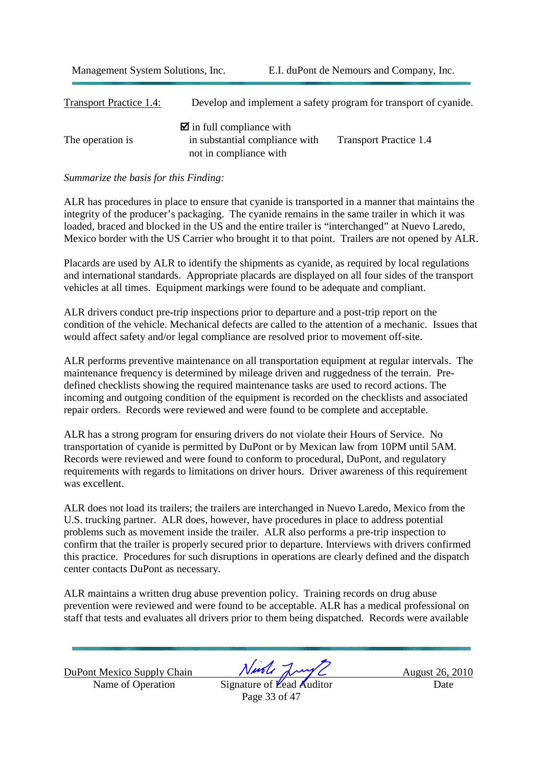| <b>Transport Practice 1.4:</b> | Develop and implement a safety program for transport of cyanide.                                   |                               |
|--------------------------------|----------------------------------------------------------------------------------------------------|-------------------------------|
| The operation is               | $\blacksquare$ in full compliance with<br>in substantial compliance with<br>not in compliance with | <b>Transport Practice 1.4</b> |

*Summarize the basis for this Finding:* 

ALR has procedures in place to ensure that cyanide is transported in a manner that maintains the integrity of the producer's packaging. The cyanide remains in the same trailer in which it was loaded, braced and blocked in the US and the entire trailer is "interchanged" at Nuevo Laredo, Mexico border with the US Carrier who brought it to that point. Trailers are not opened by ALR.

Placards are used by ALR to identify the shipments as cyanide, as required by local regulations and international standards. Appropriate placards are displayed on all four sides of the transport vehicles at all times. Equipment markings were found to be adequate and compliant.

ALR drivers conduct pre-trip inspections prior to departure and a post-trip report on the condition of the vehicle. Mechanical defects are called to the attention of a mechanic. Issues that would affect safety and/or legal compliance are resolved prior to movement off-site.

ALR performs preventive maintenance on all transportation equipment at regular intervals. The maintenance frequency is determined by mileage driven and ruggedness of the terrain. Predefined checklists showing the required maintenance tasks are used to record actions. The incoming and outgoing condition of the equipment is recorded on the checklists and associated repair orders. Records were reviewed and were found to be complete and acceptable.

ALR has a strong program for ensuring drivers do not violate their Hours of Service. No transportation of cyanide is permitted by DuPont or by Mexican law from 10PM until 5AM. Records were reviewed and were found to conform to procedural, DuPont, and regulatory requirements with regards to limitations on driver hours. Driver awareness of this requirement was excellent.

ALR does not load its trailers; the trailers are interchanged in Nuevo Laredo, Mexico from the U.S. trucking partner. ALR does, however, have procedures in place to address potential problems such as movement inside the trailer. ALR also performs a pre-trip inspection to confirm that the trailer is properly secured prior to departure. Interviews with drivers confirmed this practice. Procedures for such disruptions in operations are clearly defined and the dispatch center contacts DuPont as necessary.

ALR maintains a written drug abuse prevention policy. Training records on drug abuse prevention were reviewed and were found to be acceptable. ALR has a medical professional on staff that tests and evaluates all drivers prior to them being dispatched. Records were available

<u>DuPont Mexico Supply Chain August 26, 2010</u> Name of Operation Signature of Lead Auditor Date

Page 33 of 47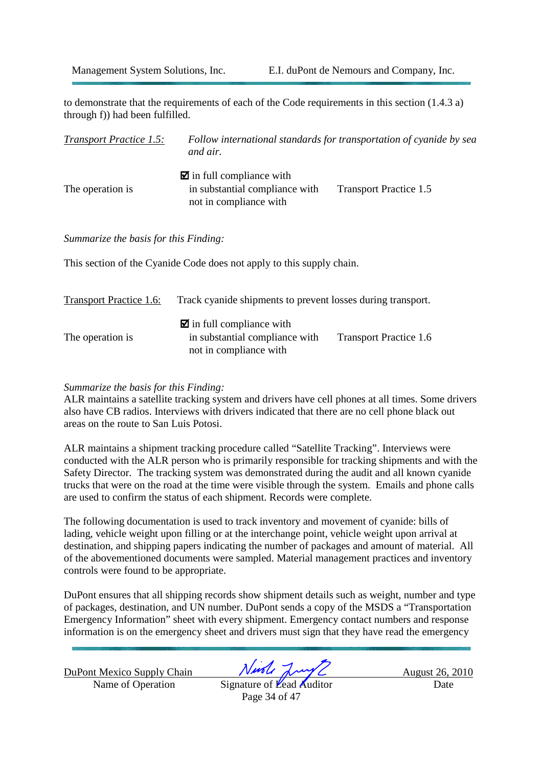to demonstrate that the requirements of each of the Code requirements in this section (1.4.3 a) through f)) had been fulfilled.

| <b>Transport Practice 1.5:</b>        | Follow international standards for transportation of cyanide by sea<br>and air.                    |                               |
|---------------------------------------|----------------------------------------------------------------------------------------------------|-------------------------------|
| The operation is                      | $\blacksquare$ in full compliance with<br>in substantial compliance with<br>not in compliance with | <b>Transport Practice 1.5</b> |
| Summarize the basis for this Finding: |                                                                                                    |                               |

This section of the Cyanide Code does not apply to this supply chain.

| Transport Practice 1.6: | Track cyanide shipments to prevent losses during transport.                                        |                               |
|-------------------------|----------------------------------------------------------------------------------------------------|-------------------------------|
| The operation is        | $\blacksquare$ in full compliance with<br>in substantial compliance with<br>not in compliance with | <b>Transport Practice 1.6</b> |

#### *Summarize the basis for this Finding:*

ALR maintains a satellite tracking system and drivers have cell phones at all times. Some drivers also have CB radios. Interviews with drivers indicated that there are no cell phone black out areas on the route to San Luis Potosi.

ALR maintains a shipment tracking procedure called "Satellite Tracking". Interviews were conducted with the ALR person who is primarily responsible for tracking shipments and with the Safety Director. The tracking system was demonstrated during the audit and all known cyanide trucks that were on the road at the time were visible through the system. Emails and phone calls are used to confirm the status of each shipment. Records were complete.

The following documentation is used to track inventory and movement of cyanide: bills of lading, vehicle weight upon filling or at the interchange point, vehicle weight upon arrival at destination, and shipping papers indicating the number of packages and amount of material. All of the abovementioned documents were sampled. Material management practices and inventory controls were found to be appropriate.

DuPont ensures that all shipping records show shipment details such as weight, number and type of packages, destination, and UN number. DuPont sends a copy of the MSDS a "Transportation Emergency Information" sheet with every shipment. Emergency contact numbers and response information is on the emergency sheet and drivers must sign that they have read the emergency

Name of Operation Signature of Lead Auditor Date

DuPont Mexico Supply Chain  $Nurb$   $\sqrt{vol}$   $\sqrt{2}$  August 26, 2010

Page 34 of 47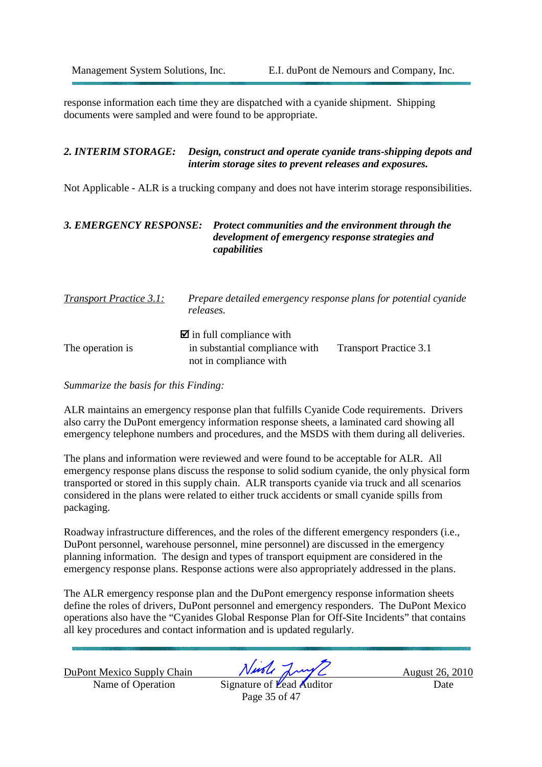response information each time they are dispatched with a cyanide shipment. Shipping documents were sampled and were found to be appropriate.

### *2. INTERIM STORAGE: Design, construct and operate cyanide trans-shipping depots and interim storage sites to prevent releases and exposures.*

Not Applicable - ALR is a trucking company and does not have interim storage responsibilities.

### *3. EMERGENCY RESPONSE: Protect communities and the environment through the development of emergency response strategies and capabilities*

| <b>Transport Practice 3.1:</b> | Prepare detailed emergency response plans for potential cyanide<br>releases.                       |                               |
|--------------------------------|----------------------------------------------------------------------------------------------------|-------------------------------|
| The operation is               | $\blacksquare$ in full compliance with<br>in substantial compliance with<br>not in compliance with | <b>Transport Practice 3.1</b> |

#### *Summarize the basis for this Finding:*

ALR maintains an emergency response plan that fulfills Cyanide Code requirements. Drivers also carry the DuPont emergency information response sheets, a laminated card showing all emergency telephone numbers and procedures, and the MSDS with them during all deliveries.

The plans and information were reviewed and were found to be acceptable for ALR. All emergency response plans discuss the response to solid sodium cyanide, the only physical form transported or stored in this supply chain. ALR transports cyanide via truck and all scenarios considered in the plans were related to either truck accidents or small cyanide spills from packaging.

Roadway infrastructure differences, and the roles of the different emergency responders (i.e., DuPont personnel, warehouse personnel, mine personnel) are discussed in the emergency planning information. The design and types of transport equipment are considered in the emergency response plans. Response actions were also appropriately addressed in the plans.

The ALR emergency response plan and the DuPont emergency response information sheets define the roles of drivers, DuPont personnel and emergency responders. The DuPont Mexico operations also have the "Cyanides Global Response Plan for Off-Site Incidents" that contains all key procedures and contact information and is updated regularly.

DuPont Mexico Supply Chain  $Nurb$   $\sqrt{vol}$   $\sqrt{2}$  August 26, 2010

Name of Operation Signature of Lead Auditor Date Page 35 of 47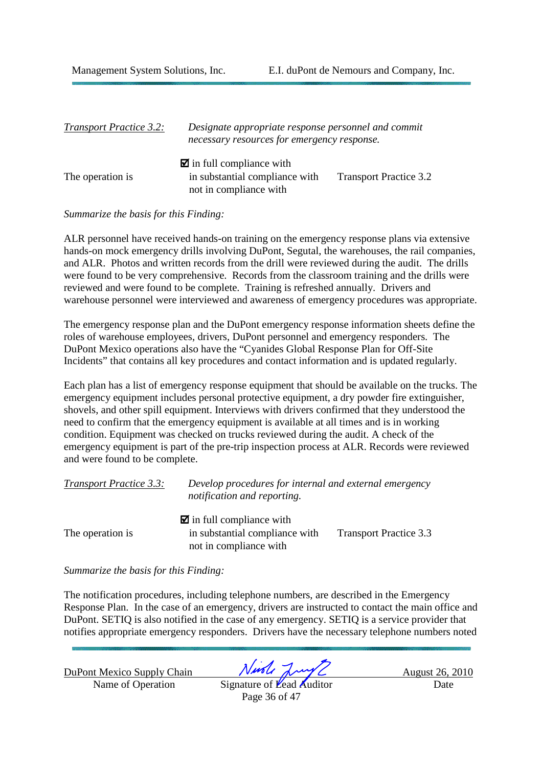| <b>Transport Practice 3.2:</b> | Designate appropriate response personnel and commit<br>necessary resources for emergency response. |                               |
|--------------------------------|----------------------------------------------------------------------------------------------------|-------------------------------|
| The operation is               | $\blacksquare$ in full compliance with<br>in substantial compliance with<br>not in compliance with | <b>Transport Practice 3.2</b> |

#### *Summarize the basis for this Finding:*

ALR personnel have received hands-on training on the emergency response plans via extensive hands-on mock emergency drills involving DuPont, Segutal, the warehouses, the rail companies, and ALR. Photos and written records from the drill were reviewed during the audit. The drills were found to be very comprehensive. Records from the classroom training and the drills were reviewed and were found to be complete. Training is refreshed annually. Drivers and warehouse personnel were interviewed and awareness of emergency procedures was appropriate.

The emergency response plan and the DuPont emergency response information sheets define the roles of warehouse employees, drivers, DuPont personnel and emergency responders. The DuPont Mexico operations also have the "Cyanides Global Response Plan for Off-Site Incidents" that contains all key procedures and contact information and is updated regularly.

Each plan has a list of emergency response equipment that should be available on the trucks. The emergency equipment includes personal protective equipment, a dry powder fire extinguisher, shovels, and other spill equipment. Interviews with drivers confirmed that they understood the need to confirm that the emergency equipment is available at all times and is in working condition. Equipment was checked on trucks reviewed during the audit. A check of the emergency equipment is part of the pre-trip inspection process at ALR. Records were reviewed and were found to be complete.

| <b>Transport Practice 3.3:</b> | Develop procedures for internal and external emergency<br>notification and reporting.              |                               |
|--------------------------------|----------------------------------------------------------------------------------------------------|-------------------------------|
| The operation is               | $\blacksquare$ in full compliance with<br>in substantial compliance with<br>not in compliance with | <b>Transport Practice 3.3</b> |

*Summarize the basis for this Finding:* 

The notification procedures, including telephone numbers, are described in the Emergency Response Plan. In the case of an emergency, drivers are instructed to contact the main office and DuPont. SETIQ is also notified in the case of any emergency. SETIQ is a service provider that notifies appropriate emergency responders. Drivers have the necessary telephone numbers noted

Name of Operation Signature of Lead Auditor Date

DuPont Mexico Supply Chain  $Nurb$   $\sqrt{vol}$   $\sqrt{2}$  August 26, 2010

Page 36 of 47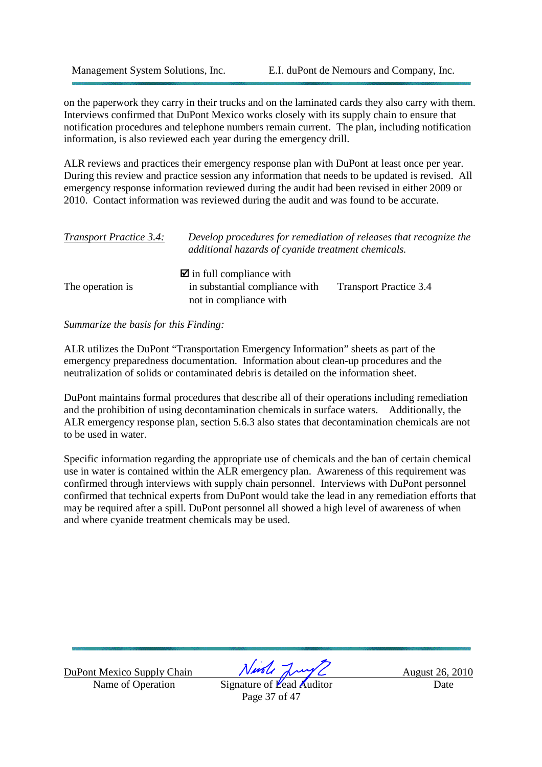on the paperwork they carry in their trucks and on the laminated cards they also carry with them. Interviews confirmed that DuPont Mexico works closely with its supply chain to ensure that notification procedures and telephone numbers remain current. The plan, including notification information, is also reviewed each year during the emergency drill.

ALR reviews and practices their emergency response plan with DuPont at least once per year. During this review and practice session any information that needs to be updated is revised. All emergency response information reviewed during the audit had been revised in either 2009 or 2010. Contact information was reviewed during the audit and was found to be accurate.

| <b>Transport Practice 3.4:</b> |                                                                                                    | Develop procedures for remediation of releases that recognize the<br>additional hazards of cyanide treatment chemicals. |  |
|--------------------------------|----------------------------------------------------------------------------------------------------|-------------------------------------------------------------------------------------------------------------------------|--|
| The operation is               | $\blacksquare$ in full compliance with<br>in substantial compliance with<br>not in compliance with | <b>Transport Practice 3.4</b>                                                                                           |  |

*Summarize the basis for this Finding:* 

ALR utilizes the DuPont "Transportation Emergency Information" sheets as part of the emergency preparedness documentation. Information about clean-up procedures and the neutralization of solids or contaminated debris is detailed on the information sheet.

DuPont maintains formal procedures that describe all of their operations including remediation and the prohibition of using decontamination chemicals in surface waters. Additionally, the ALR emergency response plan, section 5.6.3 also states that decontamination chemicals are not to be used in water.

Specific information regarding the appropriate use of chemicals and the ban of certain chemical use in water is contained within the ALR emergency plan. Awareness of this requirement was confirmed through interviews with supply chain personnel. Interviews with DuPont personnel confirmed that technical experts from DuPont would take the lead in any remediation efforts that may be required after a spill. DuPont personnel all showed a high level of awareness of when and where cyanide treatment chemicals may be used.

DuPont Mexico Supply Chain  $\frac{\sqrt{\mu\sqrt{\ell}}\sqrt{\mu\sqrt{\ell}}}{\sqrt{\ell}}$  August 26, 2010

 $Sipnature of  $V_{\text{ead}}$  Auditor Date$ Page 37 of 47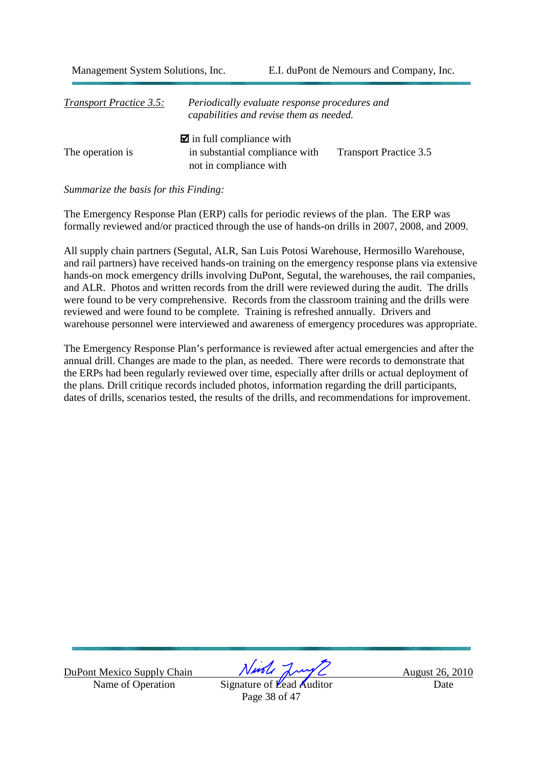| <b>Transport Practice 3.5:</b> | Periodically evaluate response procedures and<br>capabilities and revise them as needed.           |                               |
|--------------------------------|----------------------------------------------------------------------------------------------------|-------------------------------|
| The operation is               | $\blacksquare$ in full compliance with<br>in substantial compliance with<br>not in compliance with | <b>Transport Practice 3.5</b> |

*Summarize the basis for this Finding:* 

The Emergency Response Plan (ERP) calls for periodic reviews of the plan. The ERP was formally reviewed and/or practiced through the use of hands-on drills in 2007, 2008, and 2009.

All supply chain partners (Segutal, ALR, San Luis Potosi Warehouse, Hermosillo Warehouse, and rail partners) have received hands-on training on the emergency response plans via extensive hands-on mock emergency drills involving DuPont, Segutal, the warehouses, the rail companies, and ALR. Photos and written records from the drill were reviewed during the audit. The drills were found to be very comprehensive. Records from the classroom training and the drills were reviewed and were found to be complete. Training is refreshed annually. Drivers and warehouse personnel were interviewed and awareness of emergency procedures was appropriate.

The Emergency Response Plan's performance is reviewed after actual emergencies and after the annual drill. Changes are made to the plan, as needed. There were records to demonstrate that the ERPs had been regularly reviewed over time, especially after drills or actual deployment of the plans. Drill critique records included photos, information regarding the drill participants, dates of drills, scenarios tested, the results of the drills, and recommendations for improvement.

DuPont Mexico Supply Chain  $\frac{\sqrt{\mu\sqrt{\ell}}\sqrt{\mu\sqrt{\ell}}}{\sqrt{\ell}}$  August 26, 2010

Signature of Lead Auditor Date Page 38 of 47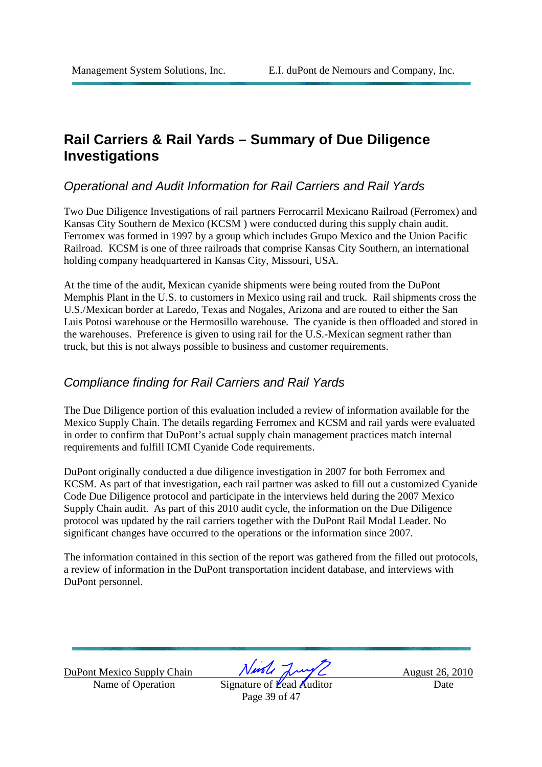# **Rail Carriers & Rail Yards – Summary of Due Diligence Investigations**

### Operational and Audit Information for Rail Carriers and Rail Yards

Two Due Diligence Investigations of rail partners Ferrocarril Mexicano Railroad (Ferromex) and Kansas City Southern de Mexico (KCSM ) were conducted during this supply chain audit. Ferromex was formed in 1997 by a group which includes Grupo Mexico and the Union Pacific Railroad. KCSM is one of three railroads that comprise Kansas City Southern, an international holding company headquartered in Kansas City, Missouri, USA.

At the time of the audit, Mexican cyanide shipments were being routed from the DuPont Memphis Plant in the U.S. to customers in Mexico using rail and truck. Rail shipments cross the U.S./Mexican border at Laredo, Texas and Nogales, Arizona and are routed to either the San Luis Potosi warehouse or the Hermosillo warehouse. The cyanide is then offloaded and stored in the warehouses. Preference is given to using rail for the U.S.-Mexican segment rather than truck, but this is not always possible to business and customer requirements.

### Compliance finding for Rail Carriers and Rail Yards

The Due Diligence portion of this evaluation included a review of information available for the Mexico Supply Chain. The details regarding Ferromex and KCSM and rail yards were evaluated in order to confirm that DuPont's actual supply chain management practices match internal requirements and fulfill ICMI Cyanide Code requirements.

DuPont originally conducted a due diligence investigation in 2007 for both Ferromex and KCSM. As part of that investigation, each rail partner was asked to fill out a customized Cyanide Code Due Diligence protocol and participate in the interviews held during the 2007 Mexico Supply Chain audit. As part of this 2010 audit cycle, the information on the Due Diligence protocol was updated by the rail carriers together with the DuPont Rail Modal Leader. No significant changes have occurred to the operations or the information since 2007.

The information contained in this section of the report was gathered from the filled out protocols, a review of information in the DuPont transportation incident database, and interviews with DuPont personnel.

Name of Operation Signature of Lead Auditor Date

DuPont Mexico Supply Chain  $N$ *ust*  $\sqrt{N}$  August 26, 2010

Page 39 of 47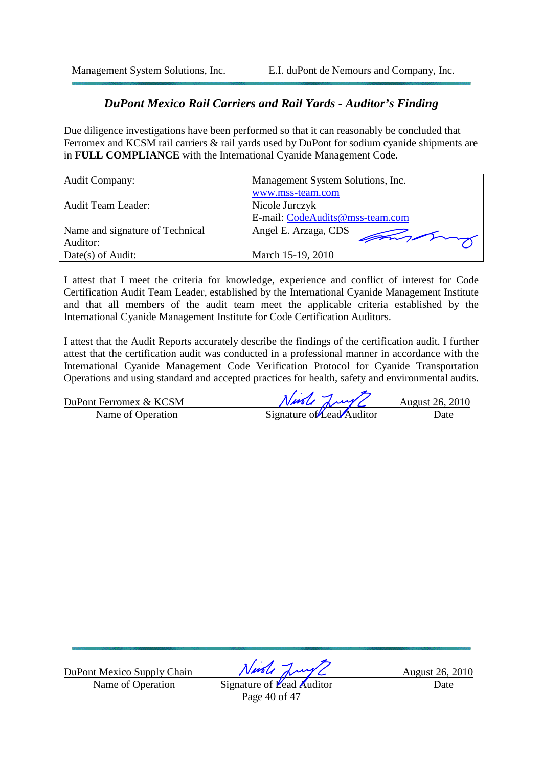### *DuPont Mexico Rail Carriers and Rail Yards - Auditor's Finding*

Due diligence investigations have been performed so that it can reasonably be concluded that Ferromex and KCSM rail carriers  $\&$  rail yards used by DuPont for sodium cyanide shipments are in **FULL COMPLIANCE** with the International Cyanide Management Code.

| <b>Audit Company:</b>           | Management System Solutions, Inc. |
|---------------------------------|-----------------------------------|
|                                 | www.mss-team.com                  |
| <b>Audit Team Leader:</b>       | Nicole Jurczyk                    |
|                                 | E-mail: CodeAudits@mss-team.com   |
| Name and signature of Technical | Angel E. Arzaga, CDS              |
| Auditor:                        | monday                            |
| Date(s) of Audit:               | March 15-19, 2010                 |

I attest that I meet the criteria for knowledge, experience and conflict of interest for Code Certification Audit Team Leader, established by the International Cyanide Management Institute and that all members of the audit team meet the applicable criteria established by the International Cyanide Management Institute for Code Certification Auditors.

I attest that the Audit Reports accurately describe the findings of the certification audit. I further attest that the certification audit was conducted in a professional manner in accordance with the International Cyanide Management Code Verification Protocol for Cyanide Transportation Operations and using standard and accepted practices for health, safety and environmental audits.

<u>DuPont Ferromex & KCSM  $N$ MEL  $\sim$  August 26, 2010</u> Name of Operation Signature of Lead Auditor Date

Name of Operation Signature of Lead Auditor Date

DuPont Mexico Supply Chain  $Nurbl$   $\lambda\mu\gamma\gamma$  August 26, 2010

Page 40 of 47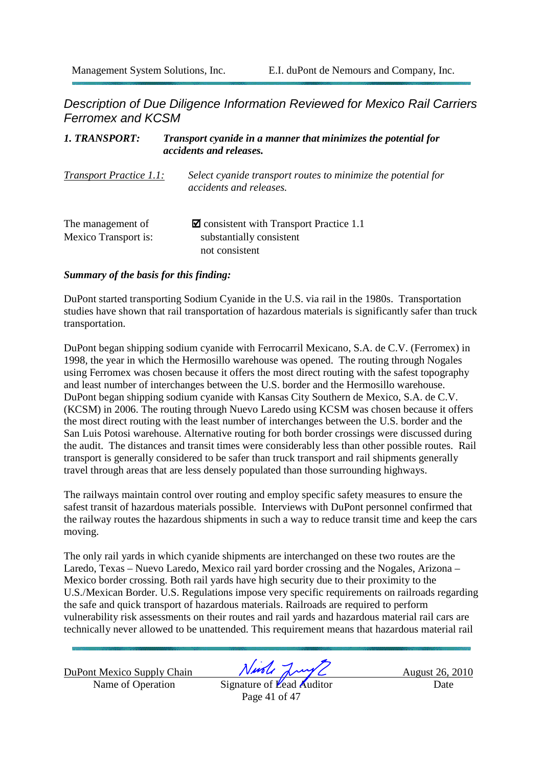Description of Due Diligence Information Reviewed for Mexico Rail Carriers Ferromex and KCSM

| Transport cyanide in a manner that minimizes the potential for<br><b>1. TRANSPORT:</b><br>accidents and releases. |                                                                                                     |
|-------------------------------------------------------------------------------------------------------------------|-----------------------------------------------------------------------------------------------------|
| <b>Transport Practice 1.1:</b>                                                                                    | Select cyanide transport routes to minimize the potential for<br>accidents and releases.            |
| The management of<br><b>Mexico Transport is:</b>                                                                  | $\blacksquare$ consistent with Transport Practice 1.1<br>substantially consistent<br>not consistent |

#### *Summary of the basis for this finding:*

DuPont started transporting Sodium Cyanide in the U.S. via rail in the 1980s. Transportation studies have shown that rail transportation of hazardous materials is significantly safer than truck transportation.

DuPont began shipping sodium cyanide with Ferrocarril Mexicano, S.A. de C.V. (Ferromex) in 1998, the year in which the Hermosillo warehouse was opened. The routing through Nogales using Ferromex was chosen because it offers the most direct routing with the safest topography and least number of interchanges between the U.S. border and the Hermosillo warehouse. DuPont began shipping sodium cyanide with Kansas City Southern de Mexico, S.A. de C.V. (KCSM) in 2006. The routing through Nuevo Laredo using KCSM was chosen because it offers the most direct routing with the least number of interchanges between the U.S. border and the San Luis Potosi warehouse. Alternative routing for both border crossings were discussed during the audit. The distances and transit times were considerably less than other possible routes. Rail transport is generally considered to be safer than truck transport and rail shipments generally travel through areas that are less densely populated than those surrounding highways.

The railways maintain control over routing and employ specific safety measures to ensure the safest transit of hazardous materials possible. Interviews with DuPont personnel confirmed that the railway routes the hazardous shipments in such a way to reduce transit time and keep the cars moving.

The only rail yards in which cyanide shipments are interchanged on these two routes are the Laredo, Texas – Nuevo Laredo, Mexico rail yard border crossing and the Nogales, Arizona – Mexico border crossing. Both rail yards have high security due to their proximity to the U.S./Mexican Border. U.S. Regulations impose very specific requirements on railroads regarding the safe and quick transport of hazardous materials. Railroads are required to perform vulnerability risk assessments on their routes and rail yards and hazardous material rail cars are technically never allowed to be unattended. This requirement means that hazardous material rail

Name of Operation Signature of Lead Auditor Date

DuPont Mexico Supply Chain  $Nurb$   $\sqrt{vol}$   $\sqrt{2}$  August 26, 2010

Page 41 of 47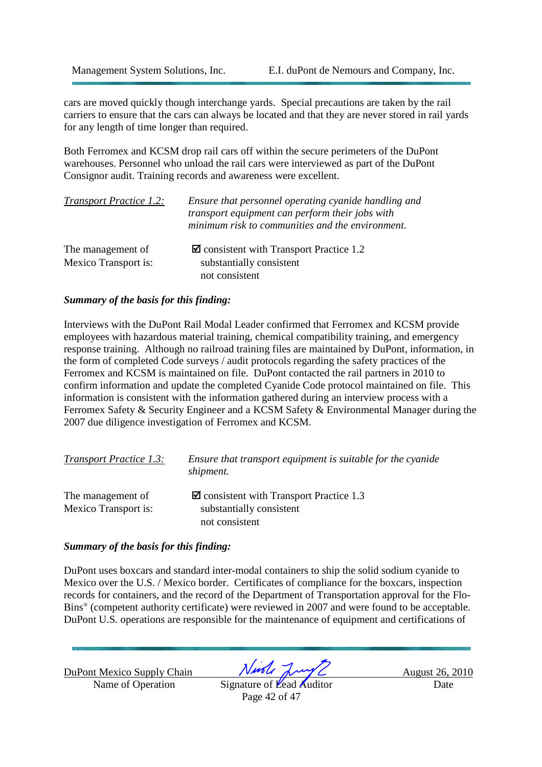cars are moved quickly though interchange yards. Special precautions are taken by the rail carriers to ensure that the cars can always be located and that they are never stored in rail yards for any length of time longer than required.

Both Ferromex and KCSM drop rail cars off within the secure perimeters of the DuPont warehouses. Personnel who unload the rail cars were interviewed as part of the DuPont Consignor audit. Training records and awareness were excellent.

| <b>Transport Practice 1.2:</b> | Ensure that personnel operating cyanide handling and<br>transport equipment can perform their jobs with<br>minimum risk to communities and the environment. |
|--------------------------------|-------------------------------------------------------------------------------------------------------------------------------------------------------------|
| The management of              | $\blacksquare$ consistent with Transport Practice 1.2                                                                                                       |
| <b>Mexico Transport is:</b>    | substantially consistent                                                                                                                                    |
|                                | not consistent                                                                                                                                              |

#### *Summary of the basis for this finding:*

Interviews with the DuPont Rail Modal Leader confirmed that Ferromex and KCSM provide employees with hazardous material training, chemical compatibility training, and emergency response training. Although no railroad training files are maintained by DuPont, information, in the form of completed Code surveys / audit protocols regarding the safety practices of the Ferromex and KCSM is maintained on file. DuPont contacted the rail partners in 2010 to confirm information and update the completed Cyanide Code protocol maintained on file. This information is consistent with the information gathered during an interview process with a Ferromex Safety & Security Engineer and a KCSM Safety & Environmental Manager during the 2007 due diligence investigation of Ferromex and KCSM.

| <b>Transport Practice 1.3:</b> | Ensure that transport equipment is suitable for the cyanide<br>shipment. |
|--------------------------------|--------------------------------------------------------------------------|
| The management of              | $\blacksquare$ consistent with Transport Practice 1.3                    |
| <b>Mexico Transport is:</b>    | substantially consistent                                                 |
|                                | not consistent                                                           |

#### *Summary of the basis for this finding:*

DuPont uses boxcars and standard inter-modal containers to ship the solid sodium cyanide to Mexico over the U.S. / Mexico border. Certificates of compliance for the boxcars, inspection records for containers, and the record of the Department of Transportation approval for the Flo-Bins® (competent authority certificate) were reviewed in 2007 and were found to be acceptable. DuPont U.S. operations are responsible for the maintenance of equipment and certifications of

Name of Operation Signature of Lead Auditor Date

DuPont Mexico Supply Chain  $Nurbl$   $\lambda\mu\gamma\gamma$  August 26, 2010

Page 42 of 47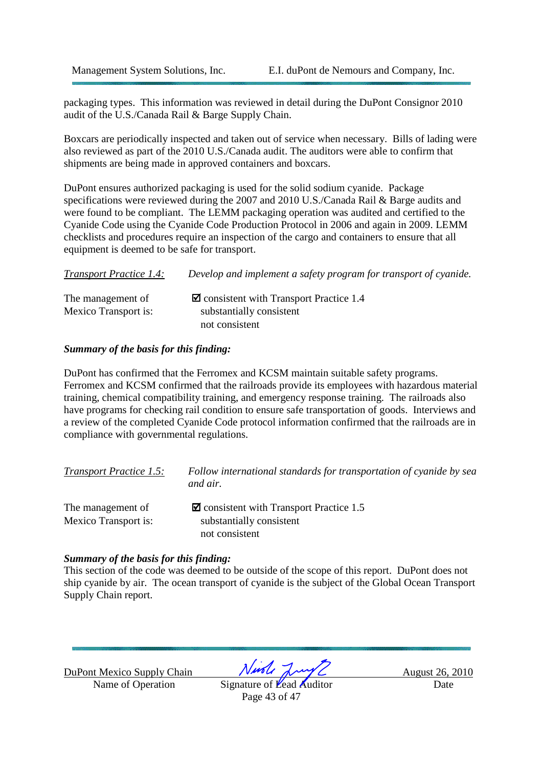packaging types. This information was reviewed in detail during the DuPont Consignor 2010 audit of the U.S./Canada Rail & Barge Supply Chain.

Boxcars are periodically inspected and taken out of service when necessary. Bills of lading were also reviewed as part of the 2010 U.S./Canada audit. The auditors were able to confirm that shipments are being made in approved containers and boxcars.

DuPont ensures authorized packaging is used for the solid sodium cyanide. Package specifications were reviewed during the 2007 and 2010 U.S./Canada Rail & Barge audits and were found to be compliant. The LEMM packaging operation was audited and certified to the Cyanide Code using the Cyanide Code Production Protocol in 2006 and again in 2009. LEMM checklists and procedures require an inspection of the cargo and containers to ensure that all equipment is deemed to be safe for transport.

| <b>Transport Practice 1.4:</b>                   | Develop and implement a safety program for transport of cyanide.                                    |
|--------------------------------------------------|-----------------------------------------------------------------------------------------------------|
| The management of<br><b>Mexico Transport is:</b> | $\blacksquare$ consistent with Transport Practice 1.4<br>substantially consistent<br>not consistent |

#### *Summary of the basis for this finding:*

DuPont has confirmed that the Ferromex and KCSM maintain suitable safety programs. Ferromex and KCSM confirmed that the railroads provide its employees with hazardous material training, chemical compatibility training, and emergency response training. The railroads also have programs for checking rail condition to ensure safe transportation of goods. Interviews and a review of the completed Cyanide Code protocol information confirmed that the railroads are in compliance with governmental regulations.

| <b>Transport Practice 1.5:</b> | Follow international standards for transportation of cyanide by sea<br>and air. |
|--------------------------------|---------------------------------------------------------------------------------|
| The management of              | $\blacksquare$ consistent with Transport Practice 1.5                           |
| <b>Mexico Transport is:</b>    | substantially consistent                                                        |
|                                | not consistent                                                                  |

#### *Summary of the basis for this finding:*

This section of the code was deemed to be outside of the scope of this report. DuPont does not ship cyanide by air. The ocean transport of cyanide is the subject of the Global Ocean Transport Supply Chain report.

Name of Operation Signature of Lead Auditor Date

DuPont Mexico Supply Chain  $N$ *ust*  $\sqrt{N}$  August 26, 2010

Page 43 of 47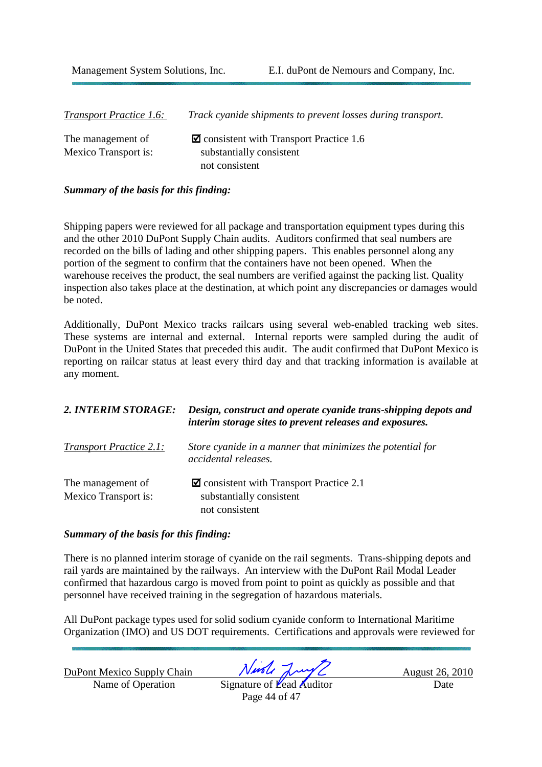*Transport Practice 1.6: Track cyanide shipments to prevent losses during transport.*  The management of  $\blacksquare$  consistent with Transport Practice 1.6 Mexico Transport is:  $substantially consistent$ 

not consistent

#### *Summary of the basis for this finding:*

Shipping papers were reviewed for all package and transportation equipment types during this and the other 2010 DuPont Supply Chain audits. Auditors confirmed that seal numbers are recorded on the bills of lading and other shipping papers. This enables personnel along any portion of the segment to confirm that the containers have not been opened. When the warehouse receives the product, the seal numbers are verified against the packing list. Quality inspection also takes place at the destination, at which point any discrepancies or damages would be noted.

Additionally, DuPont Mexico tracks railcars using several web-enabled tracking web sites. These systems are internal and external. Internal reports were sampled during the audit of DuPont in the United States that preceded this audit. The audit confirmed that DuPont Mexico is reporting on railcar status at least every third day and that tracking information is available at any moment.

| 2. INTERIM STORAGE:                              | Design, construct and operate cyanide trans-shipping depots and<br>interim storage sites to prevent releases and exposures. |
|--------------------------------------------------|-----------------------------------------------------------------------------------------------------------------------------|
| <b>Transport Practice 2.1:</b>                   | Store cyanide in a manner that minimizes the potential for<br><i>accidental releases.</i>                                   |
| The management of<br><b>Mexico Transport is:</b> | $\blacksquare$ consistent with Transport Practice 2.1<br>substantially consistent<br>not consistent                         |

#### *Summary of the basis for this finding:*

There is no planned interim storage of cyanide on the rail segments. Trans-shipping depots and rail yards are maintained by the railways. An interview with the DuPont Rail Modal Leader confirmed that hazardous cargo is moved from point to point as quickly as possible and that personnel have received training in the segregation of hazardous materials.

All DuPont package types used for solid sodium cyanide conform to International Maritime Organization (IMO) and US DOT requirements. Certifications and approvals were reviewed for

Name of Operation Signature of Lead Auditor Date

DuPont Mexico Supply Chain  $Nurb$   $\sqrt{vol}$   $\sqrt{2}$  August 26, 2010

Page 44 of 47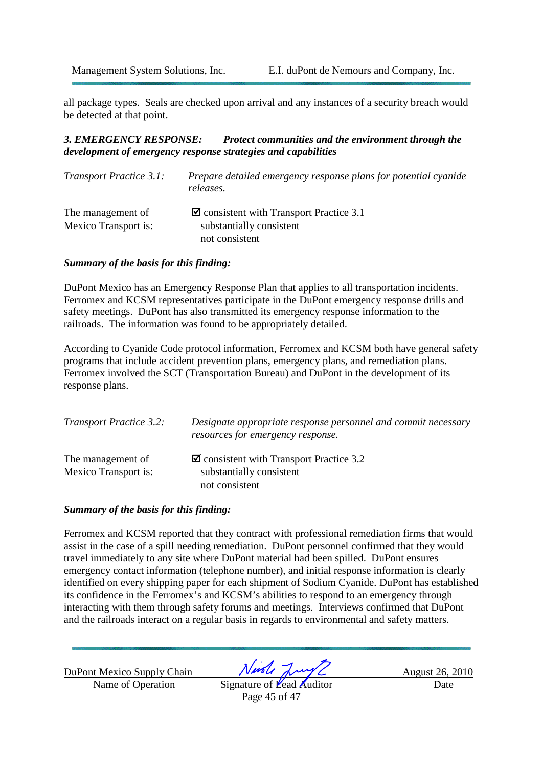all package types. Seals are checked upon arrival and any instances of a security breach would be detected at that point.

### *3. EMERGENCY RESPONSE: Protect communities and the environment through the development of emergency response strategies and capabilities*

| <b>Transport Practice 3.1:</b> | Prepare detailed emergency response plans for potential cyanide<br>releases. |
|--------------------------------|------------------------------------------------------------------------------|
| The management of              | $\blacksquare$ consistent with Transport Practice 3.1                        |
| <b>Mexico Transport is:</b>    | substantially consistent                                                     |
|                                | not consistent                                                               |

#### *Summary of the basis for this finding:*

DuPont Mexico has an Emergency Response Plan that applies to all transportation incidents. Ferromex and KCSM representatives participate in the DuPont emergency response drills and safety meetings. DuPont has also transmitted its emergency response information to the railroads. The information was found to be appropriately detailed.

According to Cyanide Code protocol information, Ferromex and KCSM both have general safety programs that include accident prevention plans, emergency plans, and remediation plans. Ferromex involved the SCT (Transportation Bureau) and DuPont in the development of its response plans.

| <b>Transport Practice 3.2:</b>                   | Designate appropriate response personnel and commit necessary<br>resources for emergency response.  |
|--------------------------------------------------|-----------------------------------------------------------------------------------------------------|
| The management of<br><b>Mexico Transport is:</b> | $\blacksquare$ consistent with Transport Practice 3.2<br>substantially consistent<br>not consistent |

#### *Summary of the basis for this finding:*

Ferromex and KCSM reported that they contract with professional remediation firms that would assist in the case of a spill needing remediation. DuPont personnel confirmed that they would travel immediately to any site where DuPont material had been spilled. DuPont ensures emergency contact information (telephone number), and initial response information is clearly identified on every shipping paper for each shipment of Sodium Cyanide. DuPont has established its confidence in the Ferromex's and KCSM's abilities to respond to an emergency through interacting with them through safety forums and meetings. Interviews confirmed that DuPont and the railroads interact on a regular basis in regards to environmental and safety matters.

Name of Operation Signature of Lead Auditor Date

DuPont Mexico Supply Chain  $N$ *ust*  $\sqrt{N}$  August 26, 2010

Page 45 of 47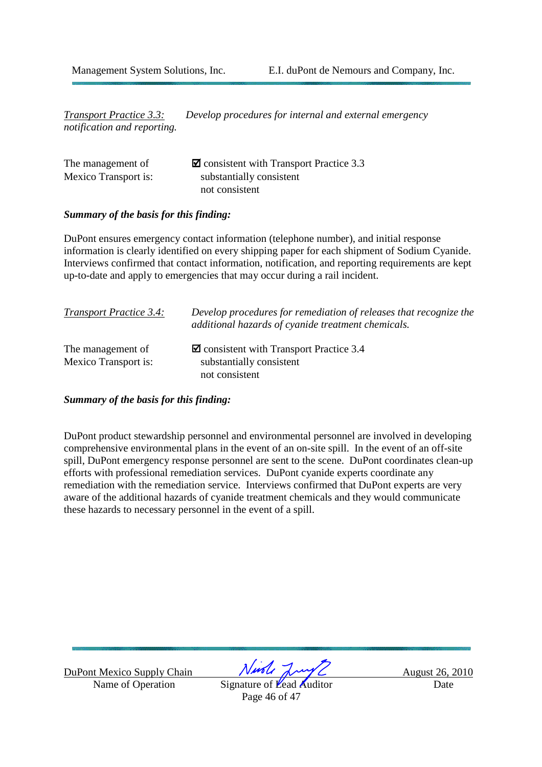*Transport Practice 3.3: Develop procedures for internal and external emergency notification and reporting.*

| The management of    | $\blacksquare$ consistent with Transport Practice 3.3 |
|----------------------|-------------------------------------------------------|
| Mexico Transport is: | substantially consistent                              |
|                      | not consistent                                        |

#### *Summary of the basis for this finding:*

DuPont ensures emergency contact information (telephone number), and initial response information is clearly identified on every shipping paper for each shipment of Sodium Cyanide. Interviews confirmed that contact information, notification, and reporting requirements are kept up-to-date and apply to emergencies that may occur during a rail incident.

| <b>Transport Practice 3.4:</b>                   | Develop procedures for remediation of releases that recognize the<br>additional hazards of cyanide treatment chemicals. |
|--------------------------------------------------|-------------------------------------------------------------------------------------------------------------------------|
| The management of<br><b>Mexico Transport is:</b> | $\blacksquare$ consistent with Transport Practice 3.4<br>substantially consistent<br>not consistent                     |

#### *Summary of the basis for this finding:*

DuPont product stewardship personnel and environmental personnel are involved in developing comprehensive environmental plans in the event of an on-site spill. In the event of an off-site spill, DuPont emergency response personnel are sent to the scene. DuPont coordinates clean-up efforts with professional remediation services. DuPont cyanide experts coordinate any remediation with the remediation service. Interviews confirmed that DuPont experts are very aware of the additional hazards of cyanide treatment chemicals and they would communicate these hazards to necessary personnel in the event of a spill.

DuPont Mexico Supply Chain  $\frac{\sqrt{\mu\sqrt{\ell}}\sqrt{\mu\sqrt{\ell}}}{\sqrt{\ell}}$  August 26, 2010

Signature of Lead Auditor Date Page 46 of 47